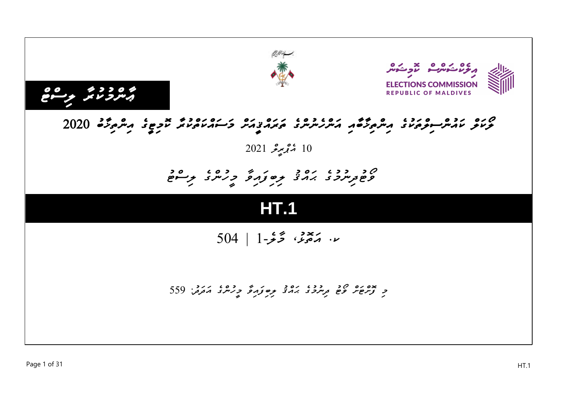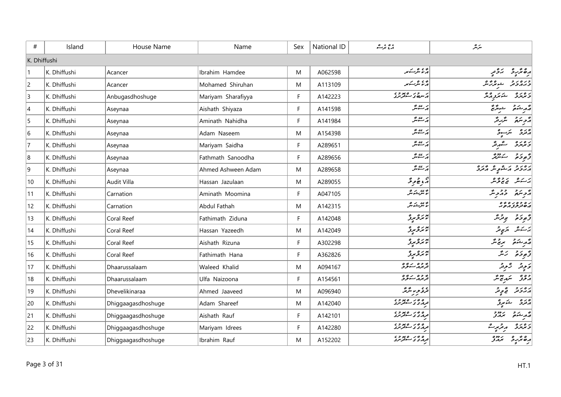| #              | Island       | House Name         | Name               | Sex       | National ID | ېره پر شه                                                     | بىر ھ                                          |
|----------------|--------------|--------------------|--------------------|-----------|-------------|---------------------------------------------------------------|------------------------------------------------|
| K. Dhiffushi   |              |                    |                    |           |             |                                                               |                                                |
|                | K. Dhiffushi | Acancer            | Ibrahim Hamdee     | M         | A062598     | ۇ ئابىر ئەير                                                  | رە ئرىر ئىمىر                                  |
| $\overline{c}$ | K. Dhiffushi | Acancer            | Mohamed Shiruhan   | M         | A113109     | ۇ ئابىر ئەير                                                  | ورەرو ھەرەپە<br><i>دىرى</i> روتر ھەر <i>ەش</i> |
| 3              | K. Dhiffushi | Anbugasdhoshuge    | Mariyam Sharafiyya | F         | A142223     | ر سرچ ر صور و ۽<br>هرس جو سنگورين                             | رەرە شەرۋە ج                                   |
| 4              | K. Dhiffushi | Aseynaa            | Aishath Shiyaza    | F         | A141598     | ىرىيىتر                                                       | و مرکز شورځ<br>مرکز شورځ                       |
| 5              | K. Dhiffushi | Aseynaa            | Aminath Nahidha    | F         | A141984     | ىر يىچە پىر                                                   | ومحر سكر متكر فتر                              |
| 6              | K. Dhiffushi | Aseynaa            | Adam Naseem        | M         | A154398     | ىرىيىتر                                                       | وره سرَ-و                                      |
| $\overline{7}$ | K. Dhiffushi | Aseynaa            | Mariyam Saidha     | F         | A289651     | ىر يىچە پىر                                                   | و ده ده شهر ش                                  |
| $\bf 8$        | K. Dhiffushi | Aseynaa            | Fathmath Sanoodha  | F         | A289656     | ىرىيىتىر                                                      | و دو سودو                                      |
| 9              | K. Dhiffushi | Aseynaa            | Ahmed Ashween Adam | ${\sf M}$ | A289658     | ىر يىچە پىر                                                   | ره رو بر وه پر دره<br>مردون مشور شرد           |
| 10             | K. Dhiffushi | Audit Villa        | Hassan Jazulaan    | M         | A289055     | م و غورځه<br>م                                                | ىر كەش بى ئەترىش                               |
| 11             | K. Dhiffushi | Carnation          | Aminath Moomina    | F         | A047105     | پە ي <sub>ىش</sub> مەر ھ                                      | أأروبتهم والموبش                               |
| 12             | K. Dhiffushi | Carnation          | Abdul Fathah       | M         | A142315     | ە ي <sub>ى</sub> ئەر ھ                                        | ر ه و ه ر ه د ه<br>پره تر پورې                 |
| 13             | K. Dhiffushi | Coral Reef         | Fathimath Ziduna   | F         | A142048     | بىر ئەكرىر ئى<br>سىر ئىرى <i>م</i> ىر                         | ۇي <sub>م</sub> ودۇ پ <sub>ىر</sub> ترىتر      |
| 14             | K. Dhiffushi | Coral Reef         | Hassan Yazeedh     | ${\sf M}$ | A142049     | لىنمە مەرىر بۇ                                                | ىز سەنتىن ئىزىي قىر                            |
| 15             | K. Dhiffushi | Coral Reef         | Aishath Rizuna     | F         | A302298     | لىنمە مەرىر بۇ                                                | د مریض میں میں<br>مریض میں میں میں             |
| 16             | K. Dhiffushi | Coral Reef         | Fathimath Hana     | F         | A362826     | لابروبرو                                                      | وٌجوحو رَيْرَ                                  |
| 17             | K. Dhiffushi | Dhaarussalaam      | Waleed Khalid      | M         | A094167     | ء وه ريده<br>تربر پر سکوگر                                    | ءَ پِهْ - رَّ پِهْ                             |
| 18             | K. Dhiffushi | Dhaarussalaam      | Ulfa Naizoona      | F         | A154561     | ه وه رر ده<br>تربر پر سنوگ                                    | أرود سَدة يَرَ                                 |
| 19             | K. Dhiffushi | Dhevelikinaraa     | Ahmed Jaaveed      | M         | A096940     | ە ئەھ بىر بىر ئىگە<br>مەمرىر بىر ئىگە                         | أزورو وتحياته                                  |
| 20             | K. Dhiffushi | Dhiggaagasdhoshuge | Adam Shareef       | M         | A142040     | ہ بھ بر ۔ ہے یو و ی<br>تورپر <sub>ک</sub> ے کسوتو <i>ہو ی</i> | أرتمرة المشتمرية                               |
| 21             | K. Dhiffushi | Dhiggaagasdhoshuge | Aishath Rauf       | F         | A142101     | ہ پھر رہے و ء<br>توہری <sub>کی</sub> سوتو <i>ہو</i>           | ر دو و<br>بور تو<br>ۇ مەشكەتى<br>مەم           |
| 22             | K. Dhiffushi | Dhiggaagasdhoshuge | Mariyam Idrees     | F         | A142280     | ہ بھ بر ہے و ء<br>توہر <sub>ک</sub> ے مسونو <i>ر</i> ی        | ر ه ر ه<br>تر بر بر<br>ە بەقرىيەت<br>س         |
| 23             | K. Dhiffushi | Dhiggaagasdhoshuge | Ibrahim Rauf       | M         | A152202     | ہ پھر رہے و ء<br>توہری <sub>کی</sub> سوتو <i>ہ</i> وری        | دە ئەرە بەدە                                   |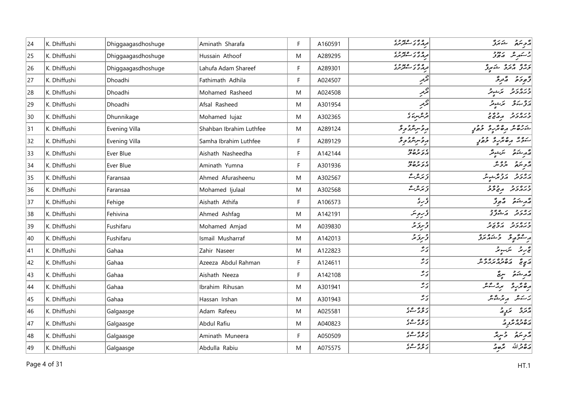| 24 | K. Dhiffushi | Dhiggaagasdhoshuge | Aminath Sharafa         | F  | A160591 | ه ۶ بر ۲۵ بر ۶ بر<br>تورد د که سوتورو د               | أأروبتهم المنتزر                                                                                                                                                                                                                    |
|----|--------------|--------------------|-------------------------|----|---------|-------------------------------------------------------|-------------------------------------------------------------------------------------------------------------------------------------------------------------------------------------------------------------------------------------|
| 25 | K. Dhiffushi | Dhiggaagasdhoshuge | Hussain Athoof          | M  | A289295 | ہ بھارت ہے والی<br>توہری <sub>کی</sub> سوتو <i>ری</i> | ا چر شهر مدور در در در جانور میباشد.<br>مردم در استفاده برای میباشد و برای کردن و برای کردن برای کردن برای کردن برای کردن برای کردن برای کردن برای کرد<br>این کردن برای کردن بر مردم و برای کردن برای کردن برای کردن برای کردن برای |
| 26 | K. Dhiffushi | Dhiggaagasdhoshuge | Lahufa Adam Shareef     | F. | A289301 | ہ بھر ہے وی<br>توہری <sub>ک</sub> ے سورس              | وه دره شهره                                                                                                                                                                                                                         |
| 27 | K. Dhiffushi | Dhoadhi            | Fathimath Adhila        | F  | A024507 | ە<br>تىرىر                                            | وَجوحَمَ الأفرقَ                                                                                                                                                                                                                    |
| 28 | K. Dhiffushi | Dhoadhi            | Mohamed Rasheed         | M  | A024508 | اچ<br>محمد                                            | ورەرو كەنبەتر                                                                                                                                                                                                                       |
| 29 | K. Dhiffushi | Dhoadhi            | Afsal Rasheed           | M  | A301954 | تحرمر                                                 | پره پره - برسونر                                                                                                                                                                                                                    |
| 30 | K. Dhiffushi | Dhunnikage         | Mohamed lujaz           | M  | A302365 | قریقریبریزی<br>   قریقریبریزی                         | כנסנק הביב                                                                                                                                                                                                                          |
| 31 | K. Dhiffushi | Evening Villa      | Shahban Ibrahim Luthfee | M  | A289124 | ە ئ <sup>ۇ</sup> سەيھىي ئوقە                          | شرحة معروف وو                                                                                                                                                                                                                       |
| 32 | K. Dhiffushi | Evening Villa      | Samha Ibrahim Luthfee   | F  | A289129 | ە قەسرىكى <sub>م</sub> گە ق <sub>ە</sub> ڭر           |                                                                                                                                                                                                                                     |
| 33 | K. Dhiffushi | Ever Blue          | Aishath Nasheedha       | F. | A142144 | ג ב בבב<br>גם <i>ג</i> ם <del>ב</del>                 | أقهر مشكاة المستر متر مشوقكر                                                                                                                                                                                                        |
| 34 | K. Dhiffushi | Ever Blue          | Aminath Yumna           | F. | A301936 | ی ر و ووو<br>پره مرحام                                | أأرمز المرديد                                                                                                                                                                                                                       |
| 35 | K. Dhiffushi | Faransaa           | Ahmed Afurasheenu       | M  | A302567 | ۇ ئەرشە                                               | رەرە رومىيەر<br>مەدەبىر مەرمىيىس                                                                                                                                                                                                    |
| 36 | K. Dhiffushi | Faransaa           | Mohamed Ijulaal         | M  | A302568 | ۇ ئەرشەشە                                             | ورەرو مەنزو                                                                                                                                                                                                                         |
| 37 | K. Dhiffushi | Fehige             | Aishath Athifa          | F  | A106573 | ې<br>توريخ                                            | مەرشىق مەبور                                                                                                                                                                                                                        |
| 38 | K. Dhiffushi | Fehivina           | Ahmed Ashfaq            | M  | A142191 | ۇر <sub>جو</sub> ىتر                                  | رەرد كەشۇر                                                                                                                                                                                                                          |
| 39 | K. Dhiffushi | Fushifaru          | Mohamed Amjad           | M  | A039830 | ۇىرۇ ئە                                               | כנסנכ נסנכ<br>כגובט גבשט                                                                                                                                                                                                            |
| 40 | K. Dhiffushi | Fushifaru          | Ismail Musharraf        | M  | A142013 | ۇىردىم                                                | ر شۇر ئەر ئەشەر بور                                                                                                                                                                                                                 |
| 41 | K. Dhiffushi | Gahaa              | Zahir Naseer            | M  | A122823 | ىزچ                                                   | چ په تر سر سر په مر                                                                                                                                                                                                                 |
| 42 | K. Dhiffushi | Gahaa              | Azeeza Abdul Rahman     | F  | A124611 | ىزمى                                                  | ره وه ره ده.<br>مصوم برروس<br>رسمي تج                                                                                                                                                                                               |
| 43 | K. Dhiffushi | Gahaa              | Aishath Neeza           | F  | A142108 | ىرچ                                                   | په <sub>مر</sub> شوه<br>د کر<br>سرچ                                                                                                                                                                                                 |
| 44 | K. Dhiffushi | Gahaa              | Ibrahim Rihusan         | M  | A301941 | ىرچ                                                   | ەرھەترىر <sup>ە</sup><br>ىر بۇ سەھر                                                                                                                                                                                                 |
| 45 | K. Dhiffushi | Gahaa              | Hassan Irshan           | M  | A301943 | ىرچ                                                   | برسكاش مالحر شكاش                                                                                                                                                                                                                   |
| 46 | K. Dhiffushi | Galgaasge          | Adam Rafeeu             | M  | A025581 | ر ه بر ه ،<br>د نورگر                                 | أزوه تزوير                                                                                                                                                                                                                          |
| 47 | K. Dhiffushi | Galgaasge          | Abdul Rafiu             | M  | A040823 | ر ه بر ه ،<br>د نورگر                                 | ر ه ده و د<br>ماه هم د برو م                                                                                                                                                                                                        |
| 48 | K. Dhiffushi | Galgaasge          | Aminath Muneera         | F. | A050509 | ر ه و م ه ،<br>د نور سور                              | ا محمد مرد<br>المحمد من<br>سم په مخ<br>د کليم                                                                                                                                                                                       |
| 49 | K. Dhiffushi | Galgaasge          | Abdulla Rabiu           | M  | A075575 | ر ه و ه ه و<br>د نورگ                                 | رە قراللە مەھ                                                                                                                                                                                                                       |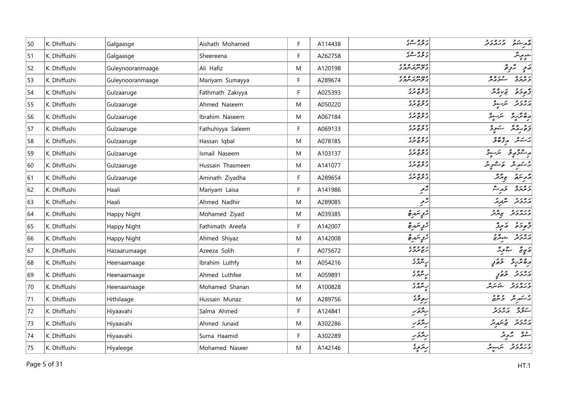| 50 | K. Dhiffushi | Galgaasge        | Aishath Mohamed   | F  | A114438 | ره و ره و<br>  د نرگ                | و رە ر د<br>تر پروتر<br>ر<br>پر کر شکوی                                                             |
|----|--------------|------------------|-------------------|----|---------|-------------------------------------|-----------------------------------------------------------------------------------------------------|
| 51 | K. Dhiffushi | Galgaasge        | Sheereena         | F. | A262758 | ر ه بر ه ،<br>د نرگ                 | ا <u>حومريگر</u><br><u>محڪ</u>                                                                      |
| 52 | K. Dhiffushi | Guleynooranmaage | Ali Hafiz         | M  | A120198 | وړ، دور ه پر ،<br>د نوسرپوسرچر د    | ړې پروپړ                                                                                            |
| 53 | K. Dhiffushi | Guleynooranmaage | Mariyam Sumayya   | F. | A289674 | وړ، دور ه پر ،<br>د نوسرپوسرچر د    | ر ه ر ه<br><del>و</del> بربرو<br>سترده و                                                            |
| 54 | K. Dhiffushi | Gulzaaruge       | Fathmath Zakiyya  | F  | A025393 | و ه پر و ء<br>  د نومځ مرد          | ىم پەر<br>و څو څخه د                                                                                |
| 55 | K. Dhiffushi | Gulzaaruge       | Ahmed Naseem      | M  | A050220 | و ه پر و ء<br>د نومځ مرد            | پروژو<br>ىئرىسەۋ                                                                                    |
| 56 | K. Dhiffushi | Gulzaaruge       | Ibrahim Naseem    | M  | A067184 | و ه پر و ء<br>د نومځ مرد            | رە ئۈرۈ<br>ىئرسەۋ                                                                                   |
| 57 | K. Dhiffushi | Gulzaaruge       | Fathuhiyya Saleem | F  | A069133 | و ه پر و ء<br>ۍ څريخ بنرۍ           | ן כן סיב<br>ג'סינינית<br>ستهود                                                                      |
| 58 | K. Dhiffushi | Gulzaaruge       | Hassan Iqbal      | M  | A078185 | و ه پر و ،<br>د نومځ مرد            | پرسترس مقصو                                                                                         |
| 59 | K. Dhiffushi | Gulzaaruge       | Ismail Naseem     | M  | A103137 | و ه پر و ء<br>د نومځ مرد            | را قۇرۇ سىز                                                                                         |
| 60 | K. Dhiffushi | Gulzaaruge       | Hussain Thasmeen  | M  | A141077 | و ه پر و ،<br>د نومځ مرد            | برسكر مراع كالمحاريش                                                                                |
| 61 | K. Dhiffushi | Gulzaaruge       | Aminath Ziyadha   | F  | A289654 | و ه پر و ء<br>ۍ څريخ بنړۍ           | مەھ بىر ئىسى ئەر                                                                                    |
| 62 | K. Dhiffushi | Haali            | Mariyam Laisa     | F  | A141986 | رٌموِ                               | ر ه ر ه<br>تر بر بر<br>ىخەرىسىگە                                                                    |
| 63 | K. Dhiffushi | Haali            | Ahmed Nadhir      | M  | A289085 | الحجيج                              | رەرو ئېرىر                                                                                          |
| 64 | K. Dhiffushi | Happy Night      | Mohamed Ziyad     | M  | A039385 | ر بو سر مرد ه<br>م                  | כנסנכ<br>כ <i>ג</i> ולכנ <sub>י א</sub> ולנ                                                         |
| 65 | K. Dhiffushi | Happy Night      | Fathimath Areefa  | F. | A142007 | <sup>ى</sup> ب <sub>و</sub> سَرىر ھ | و محمود الله المعرور المحمد و المحمد و المحمد المحمد و الله الله عليه الله الله الله عليه الله الله |
| 66 | K. Dhiffushi | Happy Night      | Ahmed Shiyaz      | M  | A142008 | ر و په پېره                         | رەر د<br>גرىرى ئىسرى                                                                                |
| 67 | K. Dhiffushi | Hazaarumaage     | Azeeza Solih      | F. | A075672 | ر پر و د »<br>رسخ مرو د             | لەيىتى<br>ستزور                                                                                     |
| 68 | K. Dhiffushi | Heenaamaage      | Ibrahim Luthfy    | M  | A054216 | ر پورې<br>بر سرچ <sub>ک</sub>       | وەتزرۇ<br>ترجمي                                                                                     |
| 69 | K. Dhiffushi | Heenaamaage      | Ahmed Luthfee     | M  | A059891 | ر پڙھ ئ                             | رەرد دەر                                                                                            |
| 70 | K. Dhiffushi | Heenaamaage      | Mohamed Shanan    | M  | A100828 | ر پژوي<br>په مرد د                  | ورەرو شەرە                                                                                          |
| 71 | K. Dhiffushi | Hithilaage       | Hussain Munaz     | M  | A289756 | رەتى<br>رىرىپى                      | يركتهر شراد والمربع                                                                                 |
| 72 | K. Dhiffushi | Hiyaavahi        | Salma Ahmed       | F  | A124841 | رېژوَر                              | رەپ رەرد                                                                                            |
| 73 | K. Dhiffushi | Hiyaavahi        | Ahmed Junaid      | M  | A302286 | رېژوَر                              | أرەرو وردو                                                                                          |
| 74 | K. Dhiffushi | Hiyaavahi        | Suma Haamid       | F  | A302289 | رېژو <i>ر</i>                       |                                                                                                     |
| 75 | K. Dhiffushi | Hiyaleege        | Mohamed Naseer    | M  | A142146 | رېز پور <sup>ي</sup>                | ورەرو ئەببەر                                                                                        |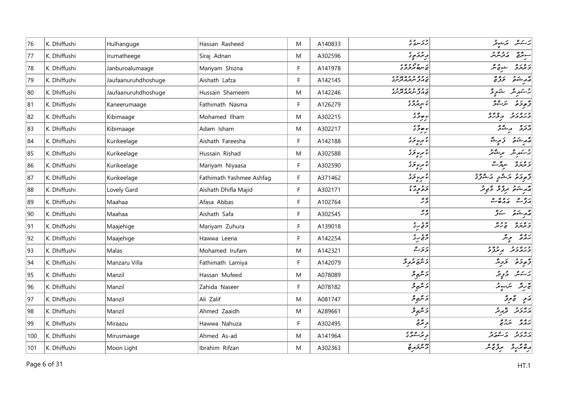| 76           | K. Dhiffushi | Hulhanguge          | Hassan Rasheed           | M           | A140833 | و ر سر و ،<br>ری سر پر ی                                 | يُرْسَدُ مَنْ مَرْسُوتْر                |
|--------------|--------------|---------------------|--------------------------|-------------|---------|----------------------------------------------------------|-----------------------------------------|
| 77           | K. Dhiffushi | Irumatheege         | Siraj Adnan              | M           | A302596 | ېر پرې<br>برېر دې                                        | سوبۇق ھەقرىترىتر                        |
| 78           | K. Dhiffushi | Janburoalumaage     | Mariyam Shizna           | $\mathsf F$ | A141978 | ر ده ده د<br>نج سره ترود د                               | ر ه ر ه<br>د بربرد<br>ے وقے مگر         |
| 79           | K. Dhiffushi | Jaufaanuruhdhoshuge | Aishath Lafza            | F           | A142145 | ر و به و و ه پر و ،<br><u>ب</u> ے پر تو سربوری           | وكرمشق وده                              |
| 80           | K. Dhiffushi | Jaufaanuruhdhoshuge | Hussain Shameem          | M           | A142246 | ر و د و و ه پرو ۽<br>تح پرتو سربوريور                    | چرىكى ھەرد                              |
| 81           | K. Dhiffushi | Kaneerumaage        | Fathimath Nasma          | $\mathsf F$ | A126279 | ىز سرچرى<br>مەس <sub>ى</sub> پرىرى                       | و و د سر ده و                           |
| 82           | K. Dhiffushi | Kibimaage           | Mohamed Ilham            | M           | A302215 | دەپى<br>رىر                                              | ورەرو روپرو                             |
| 83           | K. Dhiffushi | Kibimaage           | Adam Isham               | M           | A302217 | נים<br>נק                                                | وره پرشگو                               |
| 84           | K. Dhiffushi | Kurikeelage         | Aishath Fareesha         | F           | A142188 | د<br>با <sub>مربو</sub> مرد                              | كالرخاص وكرحة                           |
| 85           | K. Dhiffushi | Kurikeelage         | Hussain Rishad           | M           | A302588 | ا تړیدنه کوي.<br>مسرو                                    | رحم مسكر مر المحمد المحمد               |
| 86           | K. Dhiffushi | Kurikeelage         | Mariyam Niyaasa          | F           | A302590 | د<br>ماسر پوځونه                                         | دەرە سرگە                               |
| 87           | K. Dhiffushi | Kurikeelage         | Fathimath Yashmee Ashfaq | F           | A371462 | جې پېړۍ کې<br>  سرچينې ک                                 | و و ده مرکو پر دور                      |
| 88           | K. Dhiffushi | Lovely Gard         | Aishath Dhifla Majid     | F           | A302171 | ر و په و<br>نوه نور د                                    | أُمَّ مِسْتَمَّ وَرُوْحٌ وَّ مِنْ       |
| 89           | K. Dhiffushi | Maahaa              | Afasa Abbas              | $\mathsf F$ | A102764 | $\overset{\ast}{\mathcal{Z}}\overset{\ast}{\mathcal{Z}}$ | $2522 - 252$                            |
| $ 90\rangle$ | K. Dhiffushi | Maahaa              | Aishath Safa             | F           | A302545 | وًرً                                                     | أشر شدة كالمستوس                        |
| 91           | K. Dhiffushi | Maajehige           | Mariyam Zuhura           | F           | A139018 | ی ی ر ی<br>ترقع مرد                                      | ويوبره<br>ح تر تئر<br>س                 |
| 92           | K. Dhiffushi | Maajehige           | Hawwa Leena              | F           | A142254 | ه په ري<br>د کنج مرد                                     | ره و<br>حریثر                           |
| 93           | K. Dhiffushi | Malas               | Mohamed Irufam           | M           | A142321 | ىزىمى                                                    | כנסנכ הדבב<br>בגהבת הדבב                |
| 94           | K. Dhiffushi | Manzaru Villa       | Fathimath Lamiya         | F           | A142079 | ئەشرى ترەپە ئى                                           | توجوحهم<br>ىخە دىگە                     |
| 95           | K. Dhiffushi | Manzil              | Hassan Mufeed            | M           | A078089 | ۇمىنىۋ                                                   | پرسکس او دید                            |
| 96           | K. Dhiffushi | Manzil              | Zahida Naseer            | $\mathsf F$ | A078182 | ۇمىنىۋ                                                   | ىم بەش سۇپ بەر<br>م                     |
| 97           | K. Dhiffushi | Manzil              | Ali Zalif                | M           | A081747 | ئەمپر بۇ                                                 | ړې ځې د ک                               |
| 98           | K. Dhiffushi | Manzil              | Ahmed Zaaidh             | M           | A289661 | ئەمپرى <sub>ۋ</sub>                                      | برەرىر<br>قرٌم تر                       |
| 99           | K. Dhiffushi | Miraazu             | Hawwa Nahuza             | F           | A302495 | حربمزج                                                   | رە بەردە                                |
| 100          | K. Dhiffushi | Mirusmaage          | Ahmed As-ad              | M           | A141964 | د برگ دی.<br>د برگ دی                                    | ەرەر د<br>بر <u>۱</u> ۵ پر <del>د</del> |
| 101          | K. Dhiffushi | Moon Light          | Ibrahim Rifzan           | M           | A302363 | التشريح وهج                                              | مەھگرى ئىروم ھ                          |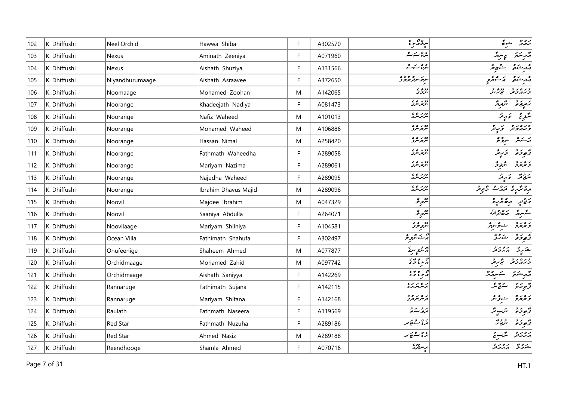| 102 | K. Dhiffushi | Neel Orchid     | Hawwa Shiba          | $\mathsf F$ | A302570 | ببرده بره                            | شدة<br>برەپچ                                              |
|-----|--------------|-----------------|----------------------|-------------|---------|--------------------------------------|-----------------------------------------------------------|
| 103 | K. Dhiffushi | <b>Nexus</b>    | Aminath Zeeniya      | F.          | A071960 | ء ۾ سه مه<br>ميرينا                  | أرمر برد<br>ىپىسىدىگە                                     |
| 104 | K. Dhiffushi | <b>Nexus</b>    | Aishath Shuziya      | F           | A131566 | يثربد مشرك                           | شەمبەرگە<br>ۇ مەشقى<br>مەر                                |
| 105 | K. Dhiffushi | Niyandhurumaaqe | Aishath Asraavee     | F.          | A372650 | سر پر بر و د پر<br>سرپر سرپر پر و پر | پ <sup>ر</sup> مرشو<br>مرم                                |
| 106 | K. Dhiffushi | Noomaage        | Mohamed Zoohan       | M           | A142065 | وو پر پر<br>سرچ ی                    | دد به د<br>محار س<br>و ره ر و<br><i>و بر</i> د تر         |
| 107 | K. Dhiffushi | Noorange        | Khadeejath Nadiya    | F           | A081473 | دد بر ه ،<br>مربر مربر               | کرمونے ہو<br> <br>  سرچھ ہو<br>سۇدرىر                     |
| 108 | K. Dhiffushi | Noorange        | Nafiz Waheed         | M           | A101013 | دد بر ه پر<br>سرپرسری                | سٌمَدِجٌ وَرِيْرٌ                                         |
| 109 | K. Dhiffushi | Noorange        | Mohamed Waheed       | M           | A106886 | دد بر ه ،<br>سرپرسر                  | و ر ه ر د<br>تر بر بر تر<br>ءَ ٻهر                        |
| 110 | K. Dhiffushi | Noorange        | Hassan Nimal         | M           | A258420 | دد بر ه پر<br>سرپرسری                | سردگر<br>برسەيىتە                                         |
| 111 | K. Dhiffushi | Noorange        | Fathmath Waheedha    | $\mathsf F$ | A289058 | دد بر ه ،<br>سرپرسر                  | ۇ ب <sub>و</sub> ر د<br>ى برىتر                           |
| 112 | K. Dhiffushi | Noorange        | Mariyam Nazima       | F.          | A289061 | دد بر ه پر<br>سرپرسری                | ر ه ر ه<br>سَّرْهُ رَ                                     |
| 113 | K. Dhiffushi | Noorange        | Najudha Waheed       | F           | A289095 | دد بر ۵ بر<br>سرپرسری                | ى برىتر<br>ر و بر<br>سرچ تر                               |
| 114 | K. Dhiffushi | Noorange        | Ibrahim Dhavus Majid | M           | A289098 | دد بر ه ،<br>مربر مربر               | مەھرىرو مرەر ئەتقى مە                                     |
| 115 | K. Dhiffushi | Noovil          | Majdee Ibrahim       | M           | A047329 | يتروعه                               | برە ئرىرد<br>ر و<br>تر فع فرٍ                             |
| 116 | K. Dhiffushi | Noovil          | Saaniya Abdulla      | F           | A264071 | يتر <sub>حر</sub> تحر                | ەھىراللە<br>ئەسەر                                         |
| 117 | K. Dhiffushi | Noovilaage      | Mariyam Shilniya     | F           | A104581 | دو پرې<br>سره څرنه                   | ر ه بر ه<br><del>د</del> بربرگ<br>ے ترسر گر               |
| 118 | K. Dhiffushi | Ocean Villa     | Fathimath Shahufa    | F           | A302497 | م<br>مەشەھرى <i>مى</i> ئى            | شەرقر<br>وحجوحهم                                          |
| 119 | K. Dhiffushi | Onufeenige      | Shaheem Ahmed        | M           | A077877 | لتريز ويبرء                          | ے پر و<br>م<br>بر ٥ پر و<br>م <i>ر</i> بر <del>و</del> تر |
| 120 | K. Dhiffushi | Orchidmaage     | Mohamed Zahid        | M           | A097742 | $rac{1}{555550}$                     | ورەرو ئەرو                                                |
| 121 | K. Dhiffushi | Orchidmaage     | Aishath Saniyya      | F           | A142269 |                                      | سەسەر<br>و مر<br>مرکز مشوحو                               |
| 122 | K. Dhiffushi | Rannaruge       | Fathimath Sujana     | F.          | A142115 | ر ہ ر د ،<br>بربربربر <sub>ی</sub>   | ر حيد عبر<br>ا تو <sub>م</sub> حر حر<br>ا                 |
| 123 | K. Dhiffushi | Rannaruge       | Mariyam Shifana      | F.          | A142168 | ر ہ ر د ،<br>بربربربر <u>ی</u>       | ر ه ر ه<br><del>و</del> بوبرو<br>ىنىدۇ ئىر                |
| 124 | K. Dhiffushi | Raulath         | Fathmath Naseera     | F           | A119569 | بر ج کے ح<br>محرور کے حق             | ىئرسىدىتى<br>وحجوحهم                                      |
| 125 | K. Dhiffushi | Red Star        | Fathmath Nuzuha      | F           | A289186 | ی ه <u>ه ه</u> نم                    | سرچ گر<br>ا تو جو جر جر<br>ا                              |
| 126 | K. Dhiffushi | <b>Red Star</b> | Ahmed Nasiz          | M           | A289188 | ى ەھەير                              | پروژو<br>ىگە يەسىرى                                       |
| 127 | K. Dhiffushi | Reendhooge      | Shamla Ahmed         | F.          | A070716 | ا پر سرچو <del>ج</del>               | شەۋقى بەرەر ۋ                                             |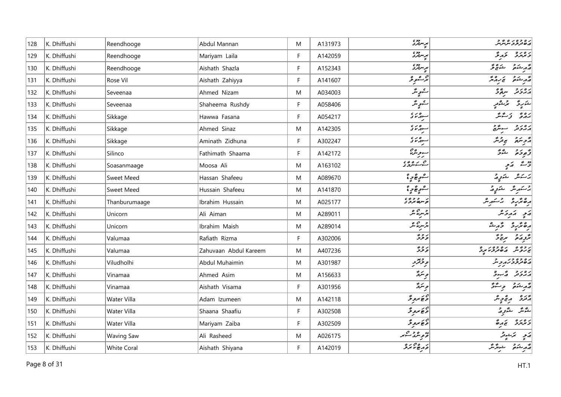| 128 | K. Dhiffushi | Reendhooge         | Abdul Mannan          | M           | A131973 | اسپرسرچری<br>نیم سرچری       | ر ه و ه ر ه ه و د<br>پره تربربربتر              |
|-----|--------------|--------------------|-----------------------|-------------|---------|------------------------------|-------------------------------------------------|
| 129 | K. Dhiffushi | Reendhooge         | Mariyam Laila         | $\mathsf F$ | A142059 | ا پر سربر د                  | ويوبره<br>ىخەرىخە                               |
| 130 | K. Dhiffushi | Reendhooge         | Aishath Shazla        | F           | A152343 | سر سرچوري<br>  سر سرچري      | شەڭ قە<br>ر<br>د گهر شکوی                       |
| 131 | K. Dhiffushi | Rose Vil           | Aishath Zahiyya       | F           | A141607 | جرعوعه                       | ى رەپىر<br>و مر د شوه<br>د کر                   |
| 132 | K. Dhiffushi | Seveenaa           | Ahmed Nizam           | M           | A034003 | ء<br>سنو <sub>ء</sub> ِ مٿر  | ر ٥ ر و<br>پر پر <del>و</del> تر<br>سرچو        |
| 133 | K. Dhiffushi | Seveenaa           | Shaheema Rushdy       | F           | A058406 | ء<br>سنو <sub>ء</sub> ِ مٿر  | شەرىخ<br>حرش <sup>9</sup> ور                    |
| 134 | K. Dhiffushi | Sikkage            | Hawwa Fasana          | F           | A054217 | ەر بەر<br>سىر تەرىخ          | رەپ زىشر                                        |
| 135 | K. Dhiffushi | Sikkage            | Ahmed Sinaz           | M           | A142305 | $519 -$                      | بر 2 ر 1<br>درگر تر<br>سىرىتىرىنج               |
| 136 | K. Dhiffushi | Sikkage            | Aminath Zidhuna       | $\mathsf F$ | A302247 | ے درمبری<br>سرور سری         | أأرجر المتمريح وترتكر                           |
| 137 | K. Dhiffushi | Silinco            | Fathimath Shaama      | F           | A142172 | ا سوچینگا<br><u>من</u>       | و مرد<br>ترجوح<br>ره پخ                         |
| 138 | K. Dhiffushi | Soasanmaage        | Moosa Ali             | M           | A163102 | <u>ص ئەندى ئ</u>             | $\frac{1}{2}$ $\frac{2}{2}$                     |
| 139 | K. Dhiffushi | <b>Sweet Meed</b>  | Hassan Shafeeu        | M           | A089670 | مو <sub>ھ</sub> و ۽          | بركتهم المكورة                                  |
| 140 | K. Dhiffushi | Sweet Meed         | Hussain Shafeeu       | M           | A141870 |                              | رُ سَمَرِ شَرَ رِ مِنْ رَ مِنْ رَ مِنْ          |
| 141 | K. Dhiffushi | Thanburumaage      | Ibrahim Hussain       | M           | A025177 | ر<br>می سرچ تر د و           | رەيزىر برخور                                    |
| 142 | K. Dhiffushi | Unicorn            | Ali Aiman             | M           | A289011 | د مره مر<br>مرس              |                                                 |
| 143 | K. Dhiffushi | Unicorn            | Ibrahim Maish         | M           | A289014 | وحسرهم                       | وە ئۈرۈ<br>رً مر شر                             |
| 144 | K. Dhiffushi | Valumaa            | Rafiath Rizma         | F           | A302006 | ء وء                         | تروره<br>سریح و                                 |
| 145 | K. Dhiffushi | Valumaa            | Zahuvaan Abdul Kareem | M           | A407236 | ر و د<br>و وگ                | ر و ده و ده و و د ره<br>مح رو ش ماه مر و ما مرد |
| 146 | K. Dhiffushi | Viludholhi         | Abdul Muhaimin        | M           | A301987 | وقرقرىر                      | ره وه ور<br>גەندۈر <i>ش</i> هر تەر              |
| 147 | K. Dhiffushi | Vinamaa            | Ahmed Asim            | M           | A156633 | عريتر                        | رەرد ئەبدۇ                                      |
| 148 | K. Dhiffushi | Vinamaa            | Aishath Visama        | F           | A301956 | عريتر                        | ومرشكم وسكو                                     |
| 149 | K. Dhiffushi | Water Villa        | Adam Izumeen          | M           | A142118 | ە<br>جۇغ ئىر <i>بو</i> مۇ    | وره معجم                                        |
| 150 | K. Dhiffushi | Water Villa        | Shaana Shaafiu        | F           | A302508 | ء کھ سرعر محر                | ا<br>مش <i>رگ</i> ر<br>ستگور                    |
| 151 | K. Dhiffushi | Water Villa        | Mariyam Zaiba         | F           | A302509 | <br> ع <b>رج سر</b> حر محر   | ر ه ر ه<br>تر بر بر<br>ىردى                     |
| 152 | K. Dhiffushi | <b>Waving Saw</b>  | Ali Rasheed           | M           | A026175 | موسیق مسلمہ<br>  موسیق مسلمہ | أركمني المركب وتر                               |
| 153 | K. Dhiffushi | <b>White Coral</b> | Aishath Shiyana       | $\mathsf F$ | A142019 |                              | أقهر شور شورهم                                  |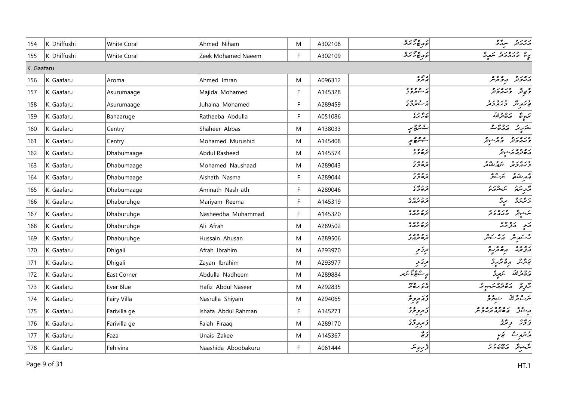| 154        | K. Dhiffushi | <b>White Coral</b> | Ahmed Niham         | M         | A302108 | $rac{1}{2}$                             | د ه د چه سرگرو                                                          |
|------------|--------------|--------------------|---------------------|-----------|---------|-----------------------------------------|-------------------------------------------------------------------------|
| 155        | K. Dhiffushi | <b>White Coral</b> | Zeek Mohamed Naeem  | F         | A302109 | ر وه رو<br>وروم نړ                      | ي و دره د د شهر و                                                       |
| K. Gaafaru |              |                    |                     |           |         |                                         |                                                                         |
| 156        | K. Gaafaru   | Aroma              | Ahmed Imran         | M         | A096312 | پر مر<br>  پر سرچ                       | رەرد مەرش                                                               |
| 157        | K. Gaafaru   | Asurumaage         | Majida Mohamed      | F         | A145328 | ر و و د »<br>پرستوری                    | وٌ وَيَدَهُ دَيْ                                                        |
| 158        | K. Gaafaru   | Asurumaage         | Juhaina Mohamed     | F         | A289459 | ر و و د »<br>پرستوری                    | ور شده دره در د                                                         |
| 159        | K. Gaafaru   | Bahaaruge          | Ratheeba Abdulla    | F         | A051086 | ر پر و ،<br>ن <i>ن</i> تر د             | بَرَيْرِيَّةُ مَنْ صَّرْاللَّهُ                                         |
| 160        | K. Gaafaru   | Centry             | Shaheer Abbas       | M         | A138033 | بتموهم                                  | $cos \theta$                                                            |
| 161        | K. Gaafaru   | Centry             | Mohamed Murushid    | ${\sf M}$ | A145408 | بتمقيم                                  | ورەرو وويدو.                                                            |
| 162        | K. Gaafaru   | Dhabumaage         | Abdul Rasheed       | ${\sf M}$ | A145574 | ر و پر ء<br>تر <i>ھ</i> و <sub>ک</sub>  | ر ه د ه ر<br>مصر پر شوتر                                                |
| 163        | K. Gaafaru   | Dhabumaage         | Mohamed Naushaad    | M         | A289043 | ر و د »<br>تر <i>ه و ی</i>              | وره رو درورو<br><i>وب</i> رمرونر شهر شونر                               |
| 164        | K. Gaafaru   | Dhabumaage         | Aishath Nasma       | F         | A289044 | ر و پر ء<br>تر <i>ھ</i> تر <sub>ک</sub> | أقرم شوه المراضح                                                        |
| 165        | K. Gaafaru   | Dhabumaage         | Aminath Nash-ath    | F         | A289046 | ر و پر ء<br>تر <i>ھ</i> تر <sub>ک</sub> | و بره شرقه و در د                                                       |
| 166        | K. Gaafaru   | Dhaburuhge         | Mariyam Reema       | F         | A145319 | ر د د ه ه<br>تر <i>ه بو د</i> د         | دەرە بردً                                                               |
| 167        | K. Gaafaru   | Dhaburuhge         | Nasheedha Muhammad  | F         | A145320 | ر و و ه ه<br>تر <i>ه بو د</i> د         | لترشونر ورەرو<br>سرشونر وبرارونر                                        |
| 168        | K. Gaafaru   | Dhaburuhqe         | Ali Afrah           | ${\sf M}$ | A289502 | ر و و ه ه<br>تر <i>ه بو د</i> د         | أقهم المروجون                                                           |
| 169        | K. Gaafaru   | Dhaburuhge         | Hussain Ahusan      | ${\sf M}$ | A289506 | ر و و ه ه<br>تر <i>ه بو د</i> د         | برستهر شهر المربر سكامل                                                 |
| 170        | K. Gaafaru   | Dhigali            | Afrah Ibrahim       | M         | A293970 | درکا مو<br>مرک                          | برويوه مده بررد                                                         |
| 171        | K. Gaafaru   | Dhigali            | Zayan Ibrahim       | M         | A293977 | ىرىمى                                   | بروه مصريرة                                                             |
| 172        | K. Gaafaru   | East Corner        | Abdulla Nadheem     | M         | A289884 | ارعوه يئهر                              | 23مرالله سرمرد                                                          |
| 173        | K. Gaafaru   | Ever Blue          | Hafiz Abdul Naseer  | ${\sf M}$ | A292835 | ג גם דב<br>גם <i>ג</i> ם <del>ד</del>   | گره ده ده در برگر                                                       |
| 174        | K. Gaafaru   | Fairy Villa        | Nasrulla Shiyam     | M         | A294065 | ۇ ئەسمەھ بۇ<br>مەسمەر                   | يترجى جرالله سنورد                                                      |
| 175        | K. Gaafaru   | Farivilla ge       | Ishafa Abdul Rahman | F         | A145271 | ر<br>تر <sub>مرجو</sub> بحری            | ر شوتر ره وه ره ده<br>مرشوتر م <i>ه ه</i> ور <i>بربر <del>و</del> س</i> |
| 176        | K. Gaafaru   | Farivilla ge       | Falah Firaaq        | M         | A289170 | ۇ بىرە ۋ <sup>ى</sup><br>سىمىسىسىس      | وَقَرَّرُ وِيَرَّدُّ                                                    |
| 177        | K. Gaafaru   | Faza               | Unais Zakee         | M         | A145367 | ترتج                                    | أرشمد سيمي                                                              |
| 178        | K. Gaafaru   | Fehivina           | Naashida Aboobakuru | F         | A061444 | ۇروپر                                   | $\frac{22}{2}$                                                          |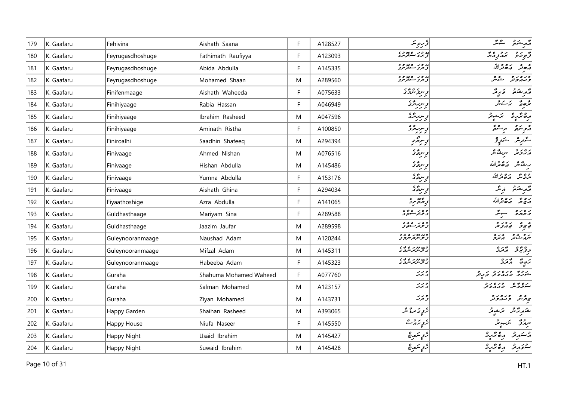| 179 | K. Gaafaru | Fehivina           | Aishath Saana          | F  | A128527 | ۇر <sub>ە</sub> بىر                                   | ۇرىشق <sub>ۇ</sub> شەئگە<br>م           |
|-----|------------|--------------------|------------------------|----|---------|-------------------------------------------------------|-----------------------------------------|
| 180 | K. Gaafaru | Feyrugasdhoshuge   | Fathimath Raufiyya     | F. | A123093 | ده و ر<br>تو بر یک سوتر در                            | ۋۈدۈ ئەزرەپ                             |
| 181 | K. Gaafaru | Feyrugasdhoshuge   | Abida Abdulla          | F. | A145335 | دے ورصور و د<br>قریمری سستمبرمری                      | صَّدَّة صَدَّاللَّهُ                    |
| 182 | K. Gaafaru | Feyrugasdhoshuge   | Mohamed Shaan          | M  | A289560 | دے ورصور و د<br>قریمری سستمبرمری                      | و ره ر و<br>تر پر تر تر<br>ستشعر        |
| 183 | K. Gaafaru | Finifenmaage       | Aishath Waheeda        | F  | A075633 | ار سره عرضه<br>پ                                      | وگرېشو وکړنگر                           |
| 184 | K. Gaafaru | Finihiyaage        | Rabia Hassan           | F  | A046949 | و سربر پر <sup>ج</sup><br>تر بر بر                    | بۇرە ئەسەس                              |
| 185 | K. Gaafaru | Finihiyaage        | Ibrahim Rasheed        | M  | A047596 | و سربر پر د<br>تر بر بر دی                            | ەرھ ئ <sup>ۆ</sup> ر ۋ<br>ىخرىشە تۈ     |
| 186 | K. Gaafaru | Finihiyaage        | Aminath Ristha         | F  | A100850 | او سربر پر ہے<br>او سربر پر پر                        | أرمز<br>برمينتهم                        |
| 187 | K. Gaafaru | Finiroalhi         | Saadhin Shafeeq        | M  | A294394 | وسرچمو                                                | گورنر ڪورِ و                            |
| 188 | K. Gaafaru | Finivaage          | Ahmed Nishan           | M  | A076516 | وسرءٌ کا                                              | رەرد سرشگىر<br>مەردىر سرىشگىر           |
| 189 | K. Gaafaru | Finivaage          | Hishan Abdulla         | M  | A145486 | و سرچ <sup>ء</sup> ِ                                  | برحَّة مِنْ مَرْدَة مِّرَاللَّه         |
| 190 | K. Gaafaru | Finivaage          | Yumna Abdulla          | F  | A153176 | و سرچ <sup>ء</sup>                                    | ووعر مكافرالله                          |
| 191 | K. Gaafaru | Finivaage          | Aishath Ghina          | F  | A294034 | و سرچ <sup>ء</sup> ِ                                  | ە ئەستىقى مەسىر                         |
| 192 | K. Gaafaru | Fiyaathoshige      | Azra Abdulla           | F  | A141065 | و پر پر ہ<br>پر مربو سر پر                            | مَ مَعْ مَدْ مَدَّاللَّهُ               |
| 193 | K. Gaafaru | Guldhasthaage      | Mariyam Sina           | F  | A289588 | و ه بر _ه پو پر<br>پر موتور سوه پ                     | ر ه ر ه<br><del>د</del> بربرگر<br>سەمگر |
| 194 | K. Gaafaru | Guldhasthaage      | Jaazim Jaufar          | M  | A289598 | و ه د ره پ <sub>ر</sub> د<br>د <del>ن</del> رتر شهو د | قَي بِحَدٍ وَمَرْتَزَ مِنْ              |
| 195 | K. Gaafaru | Guleynooranmaage   | Naushad Adam           | M  | A120244 | وړ، دور ه پو ،<br>د نومبربو بېرو د                    | برو و و دره<br>سرم شوتر مرفرو           |
| 196 | K. Gaafaru | Guleynooranmaage   | Mifzal Adam            | M  | A145311 | وړ، دو ر ه ځ ،<br>د نوسرپوسرو د                       | جەۋىچ بى<br>پور ہ<br>مرکزو              |
| 197 | K. Gaafaru | Guleynooranmaage   | Habeeba Adam           | F. | A145323 | وړ، دو ر ه ځ ،<br>د نوسرپوسرو د                       | رَەھ مەررە                              |
| 198 | K. Gaafaru | Guraha             | Shahuma Mohamed Waheed | F  | A077760 | و ر ر<br>ئ ئىرگ                                       | روه ورەرو رو                            |
| 199 | K. Gaafaru | Guraha             | Salman Mohamed         | M  | A123157 | د بر ر<br>بر برگ                                      | رووما ورەرو                             |
| 200 | K. Gaafaru | Guraha             | Ziyan Mohamed          | M  | A143731 | د بر ر<br>بر برگ                                      | بر می دره در د<br>برگس در در در         |
| 201 | K. Gaafaru | Happy Garden       | Shaihan Rasheed        | M  | A393065 | ر بو ئەسر <sup>ە</sup> مىر                            | لمشركر محرشوقر                          |
| 202 | K. Gaafaru | Happy House        | Niufa Naseer           | F  | A145550 | ر <sub>گو</sub> پر تر شه                              | اسدة<br>سيدة<br>ىئەسىرىر                |
| 203 | K. Gaafaru | Happy Night        | Usaid Ibrahim          | M  | A145427 | <sup>ج</sup> ب <sub>و</sub> سَرم <sup>9</sup>         | 5,50,60<br>جر ڪ <sub>ا</sub> ر قر       |
| 204 | K. Gaafaru | <b>Happy Night</b> | Suwaid Ibrahim         | M  | A145428 | ر و پر پر ی                                           | شورد رەئرى                              |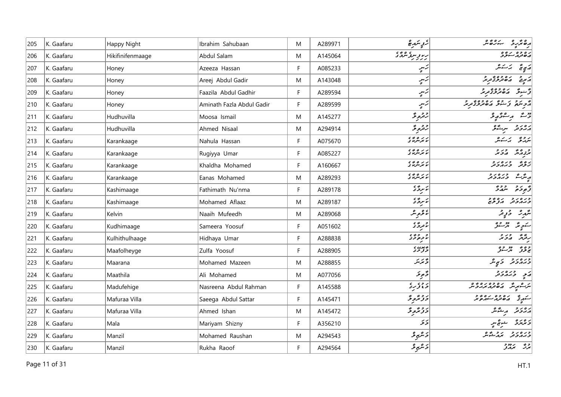| 205 | K. Gaafaru | Happy Night      | Ibrahim Sahubaan          | ${\sf M}$ | A289971 | ر موسكر ه<br>كابو سكر هي                           | يەدە بىر<br>ەر ھەترىر <i>3</i>                   |
|-----|------------|------------------|---------------------------|-----------|---------|----------------------------------------------------|--------------------------------------------------|
| 206 | K. Gaafaru | Hikifinifenmaage | Abdul Salam               | M         | A145064 | ار رو مور <sup>ی 1</sup> 22                        | ړه وه ريه ه<br>پره تر سونون                      |
| 207 | K. Gaafaru | Honey            | Azeeza Hassan             | F         | A085233 | ر سور                                              | ە ئىچ ئەسكەنلەر                                  |
| 208 | K. Gaafaru | Honey            | Areej Abdul Gadir         | M         | A143048 | ئەبىر                                              | كە بىر ئەھەر ئۇ ئىرلىر<br>كەنبەي ھەمر ئۇ ئىرلىر  |
| 209 | K. Gaafaru | Honey            | Faazila Abdul Gadhir      | F         | A289594 | ترسير                                              | ۇ ئىنىڭ مەھلەر ئەرر                              |
| 210 | K. Gaafaru | Honey            | Aminath Fazla Abdul Gadir | F         | A289599 | ئەبىر                                              | ر<br>مرکز من کا منگر میگردد که در مرکز کرد کردند |
| 211 | K. Gaafaru | Hudhuvilla       | Moosa Ismail              | ${\sf M}$ | A145277 | ژنرو ژ                                             | دره مشرقه و                                      |
| 212 | K. Gaafaru | Hudhuvilla       | Ahmed Nisaal              | ${\sf M}$ | A294914 | رتىزە ئە                                           | دەرو سربىمى                                      |
| 213 | K. Gaafaru | Karankaage       | Nahula Hassan             | F         | A075670 | ر ر ه و و ،<br>ما <del>ب</del> ر مرتز <sub>ک</sub> | لتركز كالكاش                                     |
| 214 | K. Gaafaru | Karankaage       | Rugiyya Umar              | F         | A085227 | ر ره و د ،<br>ما بر مرد د                          | دره در در د                                      |
| 215 | K. Gaafaru | Karankaage       | Khaldha Mohamed           | F         | A160667 | ر ره ۶۵<br>ما بر سرد د                             | زوو درەرد                                        |
| 216 | K. Gaafaru | Karankaage       | Eanas Mohamed             | ${\sf M}$ | A289293 | ر ر ه و د ،<br>ما <del>ب</del> رسردا د             | و ره ر و<br><i>و پر</i> و تر<br> پریٹر ہے        |
| 217 | K. Gaafaru | Kashimaage       | Fathimath Nu'nma          | F         | A289178 | لأبرمجء                                            | تو برد و دور                                     |
| 218 | K. Gaafaru | Kashimaage       | Mohamed Aflaaz            | M         | A289187 | ئەبردى<br>                                         | כנסנב נסבב<br>כממכת הנבה                         |
| 219 | K. Gaafaru | Kelvin           | Naaih Mufeedh             | M         | A289068 | عوعويثر                                            | يثمر ثروتر                                       |
| 220 | K. Gaafaru | Kudhimaage       | Sameera Yoosuf            | F         | A051602 | د دي<br>مورد د                                     | سەھ پەر جەم بور جاي                              |
| 221 | K. Gaafaru | Kulhithulhaage   | Hidhaya Umar              | F         | A288838 | د په د دي.<br>مړينو تر د                           | ری درو                                           |
| 222 | K. Gaafaru | Maafolheyge      | Zulfa Yoosuf              | F         | A288905 | ه بودن تا<br>تر تو لو ی                            | وه م معر وه<br>  بح محرق مستحر                   |
| 223 | K. Gaafaru | Maarana          | Mohamed Mazeen            | M         | A288855 | ۇ ئەرىر                                            | دره د در کریږ ش                                  |
| 224 | K. Gaafaru | Maathila         | Ali Mohamed               | M         | A077056 | رحمه بحر                                           | أمرم وره رو                                      |
| 225 | K. Gaafaru | Madufehige       | Nasreena Abdul Rahman     | F         | A145588 | د وې مې<br> د ډنورنو                               | ת סתות תסרסת סבס<br>ית התיית השתות הבית          |
| 226 | K. Gaafaru | Mafuraa Villa    | Saeega Abdul Sattar       | F         | A145471 | د د نرو ژ                                          | ر ٥ ۶ ٥ ٥ ٠ ٥ ٠<br>پره تر پر سر مر مر<br>سكورتخ  |
| 227 | K. Gaafaru | Mafuraa Villa    | Ahmed Ishan               | ${\sf M}$ | A145472 | ىر تە ئەرگە<br>مەسىرى                              | رەرو مىشەر                                       |
| 228 | K. Gaafaru | Mala             | Mariyam Shizny            | F         | A356210 | ىزى                                                | و ه ده د شوم س                                   |
| 229 | K. Gaafaru | Manzil           | Mohamed Raushan           | M         | A294543 | ئەشرىر ۋ                                           | برج يەمچىر<br>و ره ر و<br><i>و پر</i> و تر       |
| 230 | K. Gaafaru | Manzil           | Rukha Raoof               | F         | A294564 | ئەنتىبى بۇ                                         | يرز بردود                                        |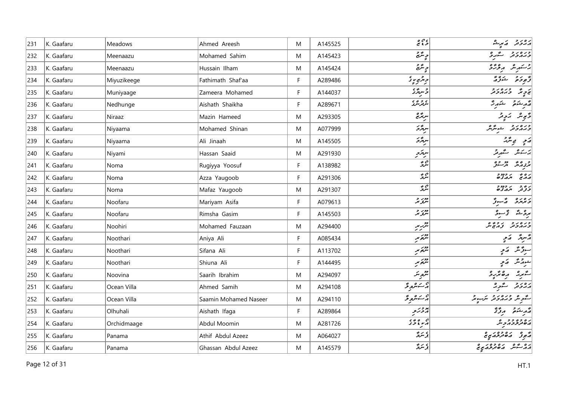| 231 | K. Gaafaru | Meadows     | Ahmed Areesh          | M           | A145525 | 882                            | أربروتر كالمريث                                          |
|-----|------------|-------------|-----------------------|-------------|---------|--------------------------------|----------------------------------------------------------|
| 232 | K. Gaafaru | Meenaazu    | Mohamed Sahim         | M           | A145423 | حر يترج                        | ورەرو ئەرۋ                                               |
| 233 | K. Gaafaru | Meenaazu    | Hussain Ilham         | M           | A145424 | حرمثر حج                       | يز شهر شهر مرور شر                                       |
| 234 | K. Gaafaru | Miyuzikeege | Fathimath Shaf'aa     | F.          | A289486 | <br>دېرېږېدنه                  | تورد شرور                                                |
| 235 | K. Gaafaru | Muniyaage   | Zameera Mohamed       | F.          | A144037 | و سرچري<br>د سرچري             |                                                          |
| 236 | K. Gaafaru | Nedhunge    | Aishath Shaikha       | F.          | A289671 | ے و ه ۽<br>سرپرسر <sub>ک</sub> | وكرمشو شكرة                                              |
| 237 | K. Gaafaru | Niraaz      | Mazin Hameed          | M           | A293305 | سرپره<br>سر                    | ۇي شەر ئەر تە                                            |
| 238 | K. Gaafaru | Niyaama     | Mohamed Shinan        | M           | A077999 | سرپڑی                          | وره رو شورش<br>در مدرو در شورش                           |
| 239 | K. Gaafaru | Niyaama     | Ali Jinaah            | M           | A145505 | سرپڑی                          | أأتمو في شرح                                             |
| 240 | K. Gaafaru | Niyami      | Hassan Saaid          | M           | A291930 | سريرتر                         | أيَّاسُكُ سُمَّهِ رَحْمَهِ رَحْمَ                        |
| 241 | K. Gaafaru | Noma        | Rugiyya Yoosuf        | F.          | A138982 | ىترىچ                          | و وه د دو وه                                             |
| 242 | K. Gaafaru | Noma        | Azza Yaugoob          | F           | A291306 | ىترىچ                          | גם זי גרדי                                               |
| 243 | K. Gaafaru | Noma        | Mafaz Yaugoob         | M           | A291307 | سرچ                            | ر د د د دود<br>حوفر مرورده                               |
| 244 | K. Gaafaru | Noofaru     | Mariyam Asifa         | F           | A079613 | دور و<br>سرو بر                | وبماره المهور                                            |
| 245 | K. Gaafaru | Noofaru     | Rimsha Gasim          | F           | A145503 | دور و<br>سرو بر                | بروڭ ئۆسۈ                                                |
| 246 | K. Gaafaru | Noohiri     | Mohamed Fauzaan       | ${\sf M}$   | A294400 | چژبر سر<br>سر                  | ورەرو روموھ<br>جەمەدىر ۋەمى                              |
| 247 | K. Gaafaru | Noothari    | Aniya Ali             | F.          | A085434 | لترجو سر                       | وشبروشر<br>ەتىر                                          |
| 248 | K. Gaafaru | Noothari    | Sifana Ali            | F.          | A113702 | لتركد سر                       | سوژىتر                                                   |
| 249 | K. Gaafaru | Noothari    | Shiuna Ali            | F.          | A144495 | يتزهج سر                       | أشور شمر أمركز                                           |
| 250 | K. Gaafaru | Noovina     | Saarih Ibrahim        | M           | A294097 | لترعر سكر                      | ستمبر<br>ە ھەتئەپ <sup>ى</sup> ر                         |
| 251 | K. Gaafaru | Ocean Villa | Ahmed Samih           | M           | A294108 | لەسىسمىرىتى                    | رەرد ئور                                                 |
| 252 | K. Gaafaru | Ocean Villa | Saamin Mohamed Naseer | M           | A294110 | ە ئەسەھ <sub>ى</sub> ئە        | أنشوش وبرورو الربيع                                      |
| 253 | K. Gaafaru | Olhuhali    | Aishath Ifaga         | $\mathsf F$ | A289864 | لتردرير                        | مەمشۇ مۇق                                                |
| 254 | K. Gaafaru | Orchidmaage | Abdul Moomin          | M           | A281726 |                                | ג ם כם כב<br>גם <i>נקב</i> גרב יל                        |
| 255 | K. Gaafaru | Panama      | Athif Abdul Azeez     | M           | A064027 | ې پر پر<br>بر سرچ              | ره وه در په ه<br>م <i>ن</i> ا <i>مو د م</i> نځ<br>ومجوفر |
| 256 | K. Gaafaru | Panama      | Ghassan Abdul Azeez   | M           | A145579 | ې پر پر<br>بو سرچ              | ره مور موجود و<br>زرگستر م <b>ه</b> تر در                |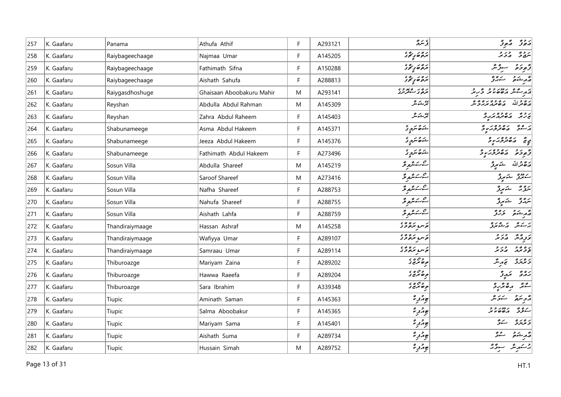| 257 | K. Gaafaru | Panama          | Athufa Athif              | F  | A293121 | إيريز                                          | رحم جو تو<br>ر و د<br>مگروگ                      |
|-----|------------|-----------------|---------------------------|----|---------|------------------------------------------------|--------------------------------------------------|
| 258 | K. Gaafaru | Raiybageechaage | Najmaa Umar               | F. | A145205 | ر ه ر<br>بروځ په کوی                           | ىر 3 ج.<br>سرچ بر<br>ەرىر                        |
| 259 | K. Gaafaru | Raiybageechaage | Fathimath Sifna           | F  | A150288 | ره در پره د                                    | و مرد د<br>سەۋىتر                                |
| 260 | K. Gaafaru | Raiybageechaage | Aishath Sahufa            | F. | A288813 | ر ه ر<br>بروه <sub>کو</sub> گور                | و.<br>د کرد شوه<br>سەدىق                         |
| 261 | K. Gaafaru | Raiygasdhoshuge | Ghaisaan Aboobakuru Mahir | M  | A293141 | ر ہ ر ۔ ہ پو و ،<br>بوجو ی سوتوری              |                                                  |
| 262 | K. Gaafaru | Reyshan         | Abdulla Abdul Rahman      | M  | A145309 | ئىرىئەنگە                                      | ر ه د ه ر ه ر ه<br>پره تر پر برگ<br>ەھىراللە     |
| 263 | K. Gaafaru | Reyshan         | Zahra Abdul Raheem        | F. | A145403 | يمر شەھر                                       | ני ניסינו מנים                                   |
| 264 | K. Gaafaru | Shabunameege    | Asma Abdul Hakeem         | F  | A145371 | ے ک <i>ے مر<sub>کب</sub>ے</i>                  | رە دەر پە<br>رزاعيتى                             |
| 265 | K. Gaafaru | Shabunameege    | Jeeza Abdul Hakeem        | F  | A145376 | ے کے سر <sub>ح ک</sub>                         | <i>ي ۽ م</i> ُهتر <i>وبرو</i>                    |
| 266 | K. Gaafaru | Shabunameege    | Fathimath Abdul Hakeem    | F  | A273496 | ے ک <i>ے سرح ک</i>                             |                                                  |
| 267 | K. Gaafaru | Sosun Villa     | Abdulla Shareef           | M  | A145219 | ح سەھ <sub>ى</sub> بۇ                          | <mark>برە ت</mark> راللە<br>شەمرى                |
| 268 | K. Gaafaru | Sosun Villa     | Saroof Shareef            | M  | A273416 | الشر متعظيمة محمد                              | سەئىرو ھەمرو                                     |
| 269 | K. Gaafaru | Sosun Villa     | Nafha Shareef             | F  | A288753 | جە يەشمۇ ئە                                    | سره پژ<br>ے کیمیوٹر<br>من                        |
| 270 | K. Gaafaru | Sosun Villa     | Nahufa Shareef            | F  | A288755 | <u>شەسە ئىرو ئ</u>                             | سرە بۇ<br>ے میرو                                 |
| 271 | K. Gaafaru | Sosun Villa     | Aishath Lahfa             | F  | A288759 | <u>ش ئەشرو ئۇ</u>                              | وكرشكا ورهامي                                    |
| 272 | K. Gaafaru | Thandiraiymaage | Hassan Ashraf             | M  | A145258 | ائم سو ئىرە دىي                                | برسەيىتە<br>ېر شه برو                            |
| 273 | K. Gaafaru | Thandiraiymaage | Wafiyya Umar              | F  | A289107 | پر مره و و ،                                   | ئەبەر چەنگە<br>ەرىر                              |
| 274 | K. Gaafaru | Thandiraiymaage | Samraau Umar              | F. | A289114 | ە ئىسىم ئىرە ئ                                 | بر ہ بر د<br>فوتر <i>مر</i> د<br>ور و<br>در د بر |
| 275 | K. Gaafaru | Thiburoazge     | Mariyam Zaina             | F. | A289202 | وه وه و و و<br>موه تریخ د                      | ر ه ر ه<br>د بربرگ<br>ىئەرىتر                    |
| 276 | K. Gaafaru | Thiburoazge     | Hawwa Raeefa              | F  | A289204 | و ۵ ۵ م<br>موھ مربح <sub>ک</sub>               | ىخەرىچ<br>برە پ                                  |
| 277 | K. Gaafaru | Thiburoazge     | Sara Ibrahim              | F  | A339348 | و ۵ ۵ ۵<br>م <sub>و</sub> ه بر بح <sub>ک</sub> | دە ئەبرو<br>ستمتر                                |
| 278 | K. Gaafaru | Tiupic          | Aminath Saman             | F  | A145363 | ھ <sub>و</sub> تر پر م                         | سەئەتىر<br>ړ ژ سره                               |
| 279 | K. Gaafaru | Tiupic          | Salma Aboobakur           | F  | A145365 | ھ م <sup>ق</sup> بر م <sup>0</sup>             | سەۋۇ<br>77/77/                                   |
| 280 | K. Gaafaru | Tiupic          | Mariyam Sama              | F  | A145401 | ھ مربور<br>م                                   | ر ه بر ه<br><del>د</del> بربرگ<br>ستریخ          |
| 281 | K. Gaafaru | Tiupic          | Aishath Suma              | F. | A289734 | جوړېږغ                                         | ر گهر شوه گ<br>سترمح                             |
| 282 | K. Gaafaru | Tiupic          | Hussain Simah             | M  | A289752 | ھ <sub>و</sub> تر پر م                         | جەسكەر سىرمى                                     |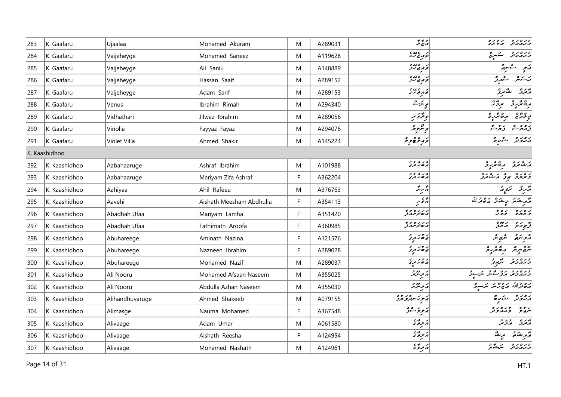| 283 | K. Gaafaru    | Ujaalaa         | Mohamed Akuram           | M         | A289031 | پرځ تخه                            | כנסנכ גבנס                                                         |
|-----|---------------|-----------------|--------------------------|-----------|---------|------------------------------------|--------------------------------------------------------------------|
| 284 | K. Gaafaru    | Vaijeheyge      | Mohamed Saneez           | ${\sf M}$ | A119628 | پر پی پی<br>  پی مربی              | و رە ر د<br><i>د بر</i> بر تر<br>سكسرچ                             |
| 285 | K. Gaafaru    | Vaijeheyge      | Ali Saniu                | M         | A148889 | ر<br>  تو مربع رئ                  | أوسمج ستستعيض                                                      |
| 286 | K. Gaafaru    | Vaijeheyge      | Hassan Saaif             | M         | A289152 | ر<br>  د مړين د د                  | برَسَة شهروْ                                                       |
| 287 | K. Gaafaru    | Vaijeheyge      | Adam Sarif               | M         | A289153 | ر<br>  تو در ج ر <sub>ک</sub>      | پەر ە<br>مەنىرى<br>-<br>سنگەمرى                                    |
| 288 | K. Gaafaru    | Venus           | Ibrahim Rimah            | ${\sf M}$ | A294340 | <sub>حو</sub> سرے                  | بردمي<br>ە ھەترىر <sup>ە</sup>                                     |
| 289 | K. Gaafaru    | Vidhathari      | Jilwaz Ibrahim           | M         | A289056 | وقرځ مر                            | و د د ه<br>ە ھەمەر 2<br>برھەمەر 2                                  |
| 290 | K. Gaafaru    | Vinolia         | Fayyaz Fayaz             | ${\sf M}$ | A294076 | ويثنبر                             | تروپژ په ترکر ته                                                   |
| 291 | K. Gaafaru    | Violet Villa    | Ahmed Shakir             | ${\sf M}$ | A145224 | وَرِدْعْ وِدَّ                     | رەرد شەر                                                           |
|     | K. Kaashidhoo |                 |                          |           |         |                                    |                                                                    |
| 292 | K. Kaashidhoo | Aabahaaruge     | Ashraf Ibrahim           | ${\sf M}$ | A101988 | پر پر و ،<br>د ځار پر <sub>ک</sub> | ړ شونرو پره تر د                                                   |
| 293 | K. Kaashidhoo | Aabahaaruge     | Mariyam Zifa Ashraf      | F         | A362204 | ه ر د و ،<br>د <i>ه ر</i> برد      | د ورو برو كروندو                                                   |
| 294 | K. Kaashidhoo | Aahiyaa         | Ahil Rafeeu              | M         | A376763 | پر<br>مرسر                         | أأرثى أأروثه                                                       |
| 295 | K. Kaashidhoo | Aavehi          | Aishath Meesham Abdhulla | F         | A354113 | پرځېبه                             | قرم شوقر ويشوقر وكالحدة الله                                       |
| 296 | K. Kaashidhoo | Abadhah Ufaa    | Mariyam Lamha            | F         | A351420 | ر ر ر ه د و<br>پرې تر برړ تو       | رەرە رەپ                                                           |
| 297 | K. Kaashidhoo | Abadhah Ufaa    | Fathimath Aroofa         | F         | A360985 | ر ر ر ه د »<br>پره تر ر پ          | أزودة المترز                                                       |
| 298 | K. Kaashidhoo | Abuhareege      | Aminath Nazina           | F         | A121576 | پرځ ښری                            | ۇ ئەسىر ئىسى ئىر                                                   |
| 299 | K. Kaashidhoo | Abuhareege      | Nazneen Ibrahim          | F         | A289028 | <br>  پر ځار سمبری<br>             | شهر سره میگرد                                                      |
| 300 | K. Kaashidhoo | Abuhareege      | Mohamed Nazif            | ${\sf M}$ | A289037 | ئەھەسىمى <sup>ي</sup>              | ورەرو شجوتر                                                        |
| 301 | K. Kaashidhoo | Ali Nooru       | Mohamed Afsaan Naseem    | M         | A355025 | أرمو يتربر                         | وره رو ره مود برگرد <mark>و</mark><br><i>وی</i> روور بروکرش برگردو |
| 302 | K. Kaashidhoo | Ali Nooru       | Abdulla Azhan Naseem     | M         | A355030 | لأويترند                           | رە داللە مەم ئىر مرىسى                                             |
| 303 | K. Kaashidhoo | Alihandhuvaruge | Ahmed Shakeeb            | M         | A079155 | ړ پر <i>سرچر و</i> ل               | أربروتر يذره                                                       |
| 304 | K. Kaashidhoo | Alimasge        | Nauma Mohamed            | F         | A367548 | لأمرخ سفو                          | سمدتر<br>و ره ر و<br><i>و ټ</i> رونر                               |
| 305 | K. Kaashidhoo | Alivaage        | Adam Umar                | ${\sf M}$ | A061580 | پزېږ                               | دره در د<br>پرترو پرونو                                            |
| 306 | K. Kaashidhoo | Alivaage        | Aishath Reesha           | F         | A124954 | پر یو ی                            | مەرشەر برىگ                                                        |
| 307 | K. Kaashidhoo | Alivaage        | Mohamed Nashath          | M         | A124961 | پزیره ی                            | ورەرو برخو                                                         |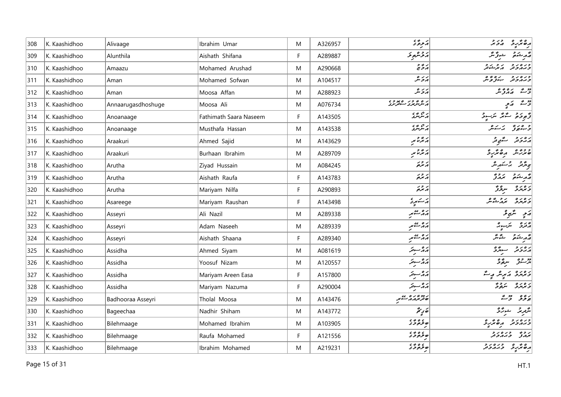| 308 | K. Kaashidhoo | Alivaage           | Ibrahim Umar           | ${\sf M}$ | A326957 | تەمرەتى                               | $777$ $3770$                                          |
|-----|---------------|--------------------|------------------------|-----------|---------|---------------------------------------|-------------------------------------------------------|
| 309 | K. Kaashidhoo | Alunthila          | Aishath Shifana        | F         | A289887 | لەز شەبۇ                              | ە بەينى ئىرۇنىگە                                      |
| 310 | K. Kaashidhoo | Amaazu             | Mohamed Arushad        | ${\sf M}$ | A290668 | ەردىتى                                | ورەرو رورو<br><i>وبە</i> روىر <mark>ب</mark> ەترىشەتر |
| 311 | K. Kaashidhoo | Aman               | Mohamed Sofwan         | M         | A104517 | برىر ھ                                | ورەرد رەپەر<br><i>دىد</i> ردىر سۆۋىر                  |
| 312 | K. Kaashidhoo | Aman               | Moosa Affan            | ${\sf M}$ | A288923 | برىر ھ                                | در مەرزىر                                             |
| 313 | K. Kaashidhoo | Annaarugasdhoshuge | Moosa Ali              | M         | A076734 | ر ۵ ۶ و ر ۵ پو و ٤<br>۸ سرسرپري سوترس | أرحشت أرشعي                                           |
| 314 | K. Kaashidhoo | Anoanaage          | Fathimath Saara Naseem | F         | A143505 | ىر مىرىيە ي                           | ۇي ئەم ئىس ئىر                                        |
| 315 | K. Kaashidhoo | Anoanaage          | Musthafa Hassan        | ${\sf M}$ | A143538 | ر ۵ ء ۽<br>مرس                        | و ەر ئەسكىر                                           |
| 316 | K. Kaashidhoo | Araakuri           | Ahmed Sajid            | ${\sf M}$ | A143629 | ىر ئېرىز بىر                          | د ه د د عسي تر                                        |
| 317 | K. Kaashidhoo | Araakuri           | Burhaan Ibrahim        | M         | A289709 | ە ئەرەبىر                             | ככבים הסיבים                                          |
| 318 | K. Kaashidhoo | Arutha             | Ziyad Hussain          | M         | A084245 | بر ور                                 | ى ئىرقىر بىر ئىسكىرىش                                 |
| 319 | K. Kaashidhoo | Arutha             | Aishath Raufa          | F         | A143783 | ەر برە                                | و در دور<br>مگر شوه محمدو                             |
| 320 | K. Kaashidhoo | Arutha             | Mariyam Nilfa          | F         | A290893 | بر ور                                 | دەرە سرورٌ                                            |
| 321 | K. Kaashidhoo | Asareege           | Mariyam Raushan        | F         | A143498 | لەسكە بېرى                            | رەرە پەرشەر                                           |
| 322 | K. Kaashidhoo | Asseyri            | Ali Nazil              | ${\sf M}$ | A289338 | لره يهمبر                             | ړې شمېر ه                                             |
| 323 | K. Kaashidhoo | Asseyri            | Adam Naseeh            | ${\sf M}$ | A289339 | لئەۋرىيىمىر                           | ورو مرکب و                                            |
| 324 | K. Kaashidhoo | Asseyri            | Aishath Shaana         | F         | A289340 | لئەۋسىمبر                             | مەر شەم ئىشىر                                         |
| 325 | K. Kaashidhoo | Assidha            | Ahmed Siyam            | M         | A081619 | رژوسىز                                | أرەر ئەر                                              |
| 326 | K. Kaashidhoo | Assidha            | Yoosuf Nizam           | M         | A120557 | لرة سوقر                              | وريدو سرفرو                                           |
| 327 | K. Kaashidhoo | Assidha            | Mariyam Areen Easa     | F         | A157800 | روسوتر                                | دورو كمبيش وبث                                        |
| 328 | K. Kaashidhoo | Assidha            | Mariyam Nazuma         | F         | A290004 | رژه سونئر                             | ره ره پروژ                                            |
| 329 | K. Kaashidhoo | Badhooraa Asseyri  | Tholal Moosa           | ${\sf M}$ | A143476 | ر دو در ه عد<br>ه تر بر در ک          | پروه دون                                              |
| 330 | K. Kaashidhoo | Bageechaa          | Nadhir Shiham          | ${\sf M}$ | A143772 | <br>  تەرىخ                           | س <i>رگور پر شورگ</i> و<br>مسر                        |
| 331 | K. Kaashidhoo | Bilehmaage         | Mohamed Ibrahim        | ${\sf M}$ | A103905 | ړ ه و و و<br>موخونو د                 | CLOLE LOND                                            |
| 332 | K. Kaashidhoo | Bilehmaage         | Raufa Mohamed          | F         | A121556 | <br> حومود د                          | ر وه بوره رو<br>بردگر برندبر                          |
| 333 | K. Kaashidhoo | Bilehmaage         | Ibrahim Mohamed        | ${\sf M}$ | A219231 | <br> حوفرو د د                        | مەمگرى دىرەرد                                         |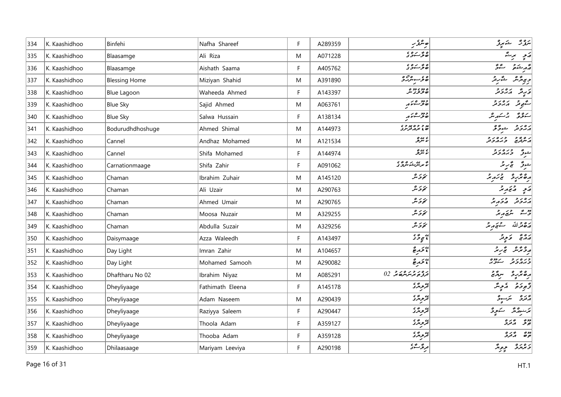| 334 | K. Kaashidhoo | Binfehi              | Nafha Shareef    | F           | A289359 | جەنتزىر                              | سروج<br>ڪ مور <sup>9</sup>                                   |
|-----|---------------|----------------------|------------------|-------------|---------|--------------------------------------|--------------------------------------------------------------|
| 335 | K. Kaashidhoo | Blaasamge            | Ali Riza         | M           | A071228 | ە بۇ سەدى<br>ھۆسىۋى                  | ړې برگ                                                       |
| 336 | K. Kaashidhoo | Blaasamge            | Aishath Saama    | F           | A405762 | ە ئۇستەد ئ                           | رميح<br>پ <sup>و</sup> مرشومی<br>مرگ                         |
| 337 | K. Kaashidhoo | <b>Blessing Home</b> | Miziyan Shahid   | M           | A391890 | ە ئوسومىرىدى                         | ىر بى <sub>ر</sub> ئەشر<br>ستشرر و تر                        |
| 338 | K. Kaashidhoo | <b>Blue Lagoon</b>   | Waheeda Ahmed    | F.          | A143397 | ه دد د د ه<br>ح <del>ن</del> ر نړۍ س | بر ٥ پر و<br>م <i>ر</i> بر <del>و</del> تر<br>ئر برگر<br>حرب |
| 339 | K. Kaashidhoo | <b>Blue Sky</b>      | Sajid Ahmed      | M           | A063761 | ەچرىشىد                              | سگھوتر کے پروتر                                              |
| 340 | K. Kaashidhoo | <b>Blue Sky</b>      | Salwa Hussain    | F           | A138134 | د ده من د                            | سەۋۇ برسىمەش                                                 |
| 341 | K. Kaashidhoo | Bodurudhdhoshuge     | Ahmed Shimal     | M           | A144973 | پر و و ه پر و ء<br>به د مرد ترس      | رەرد ھەم<br>مەردىس ھەرىخ                                     |
| 342 | K. Kaashidhoo | Cannel               | Andhaz Mohamed   | M           | A121534 | ی ی <sub>ک</sub> ہ<br>ما منوبو       | و ر ه ر و<br>تر پروتر<br>بر 2 پر 7<br>مرمربر                 |
| 343 | K. Kaashidhoo | Cannel               | Shifa Mohamed    | F.          | A144974 | ی ی <sub>ک</sub> ہ<br>ما منوبو       | و ره ر د<br>تر پر تر تر<br>ے وگر<br>مر                       |
| 344 | K. Kaashidhoo | Carnationmaage       | Shifa Zahir      | F           | A091062 | ر<br>ئاپرىتىشەمىرى <i>دى</i>         | لمور <sup>ق</sup> المجرية                                    |
| 345 | K. Kaashidhoo | Chaman               | Ibrahim Zuhair   | M           | A145120 | ىمەر ھ                               |                                                              |
| 346 | K. Kaashidhoo | Chaman               | Ali Uzair        | M           | A290763 | ىمەر ھ                               |                                                              |
| 347 | K. Kaashidhoo | Chaman               | Ahmed Umair      | M           | A290765 | ىمەر شر                              |                                                              |
| 348 | K. Kaashidhoo | Chaman               | Moosa Nuzair     | M           | A329255 | ىئە ئەشر                             | ریسے پہنچ ہو بلہ                                             |
| 349 | K. Kaashidhoo | Chaman               | Abdulla Suzair   | M           | A329256 | ىئەر ھ                               | وحدالله<br>شىئى مەيتمە                                       |
| 350 | K. Kaashidhoo | Daisymaage           | Azza Waleedh     | F           | A143497 | ر<br>منظم پر محمد<br>منظم            | ده و و د                                                     |
| 351 | K. Kaashidhoo | Day Light            | Imran Zahir      | M           | A104657 | اء تر ہے<br>ا                        | ە ئەترىش تجارىر                                              |
| 352 | K. Kaashidhoo | Day Light            | Mohamed Samooh   | M           | A290082 | بمخرم                                | سترده<br>و ره ر د<br>تر پروتر                                |
| 353 | K. Kaashidhoo | Dhaftharu No 02      | Ibrahim Niyaz    | M           | A085291 | رە رورە ئەچ 02                       | ەر ھەترىر <i>2</i><br>سرگرمج                                 |
| 354 | K. Kaashidhoo | Dheyliyaage          | Fathimath Eleena | F           | A145178 | در<br>ترموبری                        | وٌودو کرد                                                    |
| 355 | K. Kaashidhoo | Dheyliyaage          | Adam Naseem      | M           | A290439 | ر<br>ترمویز <sub>ک</sub>             | ۇرۇ سەببۇ                                                    |
| 356 | K. Kaashidhoo | Dheyliyaage          | Raziyya Saleem   | F.          | A290447 | ن عروج مح<br>  قرحر جر               | ىز سىزەر تەر<br>سكود                                         |
| 357 | K. Kaashidhoo | Dheyliyaage          | Thoola Adam      | $\mathsf F$ | A359127 | ەيە پەر<br>قرىرىرى                   | دد پره<br>جو گنرو                                            |
| 358 | K. Kaashidhoo | Dheyliyaage          | Thooba Adam      | F.          | A359128 | ن<br>قرمورد د                        | دد د دره<br>وه گنرو                                          |
| 359 | K. Kaashidhoo | Dhilaasaage          | Mariyam Leeviya  | F           | A290198 | ىر ئۇستىرى                           |                                                              |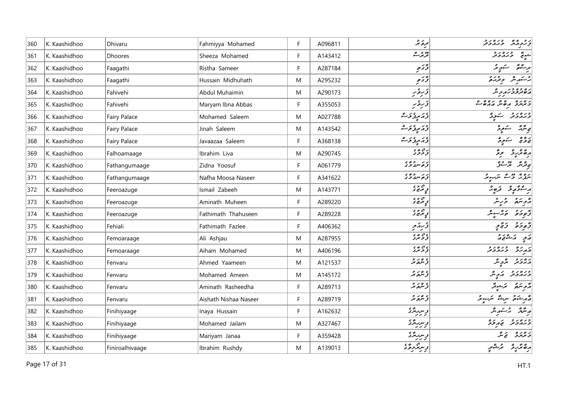| 360 | K. Kaashidhoo | Dhivaru             | Fahmiyya Mohamed      | F  | A096811 | ىر بەر<br>تىر <sub>جى</sub> ر                     | 22012 2021                                   |
|-----|---------------|---------------------|-----------------------|----|---------|---------------------------------------------------|----------------------------------------------|
| 361 | K. Kaashidhoo | <b>Dhoores</b>      | Sheeza Mohamed        | F. | A143412 | دد ،<br>تربر ک                                    | شویج وبروبرو<br>  <sub>ش</sub> ویخ وبرابروتر |
| 362 | K. Kaashidhoo | Faagathi            | Ristha Sameer         | F. | A287184 | ۇئەم                                              | برسقو سكوبر                                  |
| 363 | K. Kaashidhoo | Faagathi            | Hussain Midhuhath     | M  | A295232 | قرىمج                                             | برسكر سر و ورد و                             |
| 364 | K. Kaashidhoo | Fahivehi            | Abdul Muhaimin        | M  | A290173 | ۇر <sub>ە</sub><br>د                              | ره ده در<br>مه مرد در بر د                   |
| 365 | K. Kaashidhoo | Fahivehi            | Maryam Ibna Abbas     | F  | A355053 | تر ره<br>قرره ر                                   |                                              |
| 366 | K. Kaashidhoo | <b>Fairy Palace</b> | Mohamed Saleem        | M  | A027788 | ۇرىمبە ئەسىسى                                     | ورەر ئەرو                                    |
| 367 | K. Kaashidhoo | <b>Fairy Palace</b> | Jinah Saleem          | M  | A143542 | ۇ ئەس <sub>تى</sub> رى ئەت<br>مەسىرى <i>گە</i>    | سەرد<br>  محر متر شر                         |
| 368 | K. Kaashidhoo | <b>Fairy Palace</b> | Javaazaa Saleem       | F  | A368138 | <sub>ۇ</sub> ر <sub>ىمبى</sub> رۇ ئە <sup>م</sup> | ر په په<br>این ونځ<br>سكود                   |
| 369 | K. Kaashidhoo | Falhoamaage         | Ibrahim Liva          | M  | A290745 | ر <i>0 ہ</i> ے ۔<br>وعر                           | ەرھ ئ <sup>ۆ</sup> ر ۋ<br>عرقر               |
| 370 | K. Kaashidhoo | Fathangumaage       | Zidna Yoosuf          | F  | A061779 | ر ر<br>زه سر د د د                                | ى <sub>ج</sub> ەر شەھر تەرىپىتى بول          |
| 371 | K. Kaashidhoo | Fathangumaage       | Nafha Moosa Naseer    | F  | A341622 | ر ر ر د » ،<br>ز می سرن ژ د                       | للمروم المحمد الكرسومي                       |
| 372 | K. Kaashidhoo | Feeroazuge          | Ismail Zabeeh         | M  | A143771 | و چې د و<br>نو پرېځ د                             | وكوريح فرەم                                  |
| 373 | K. Kaashidhoo | Feeroazuge          | Aminath Muheen        | F  | A289220 | و ۶ و ۽<br>پي تريج <sub>ک</sub>                   | أأدويتهم والمحاريثر                          |
| 374 | K. Kaashidhoo | Feeroazuge          | Fathimath Thahuseen   | F  | A289228 | و چو د ۽<br>ويڏي ت                                | أزودة وراسيس                                 |
| 375 | K. Kaashidhoo | Fehiali             | Fathimath Fazlee      | F. | A406362 | ۇرىزىر                                            | توجدة تكافح                                  |
| 376 | K. Kaashidhoo | Femoaraage          | Ali Ashjau            | M  | A287955 | ه ۵ پر د<br>او د برد                              | أوكمني وكمشورة                               |
| 377 | K. Kaashidhoo | Femoaraage          | Aiham Mohamed         | M  | A406196 | ړ بر پر ړ<br>تو <del>و</del> مرد                  | و ره ر و<br><i>و پر</i> و تر<br>بزمرده       |
| 378 | K. Kaashidhoo | Fenvaru             | Ahmed Yaameen         | M  | A121537 | ې ۵ پر د                                          | ر ه ر د<br>م.رو تر<br>ړګر مر                 |
| 379 | K. Kaashidhoo | Fenvaru             | Mohamed Ameen         | M  | A145172 | ې ۵ پر د                                          | ورەرو كەچىگ                                  |
| 380 | K. Kaashidhoo | Fenvaru             | Aminath Rasheedha     | F  | A289713 | ې مر <sub>م</sub> ر چ                             | أزويتم أأترشوش                               |
| 381 | K. Kaashidhoo | Fenvaru             | Aishath Nishaa Naseer | F  | A289719 | ې ۵ پر د                                          | لأرشكني سرمثة الكرسوند                       |
| 382 | K. Kaashidhoo | Finihiyaage         | Inaya Hussain         | F  | A162632 | او سربر دی<br>او سربر دی                          | ە ئىگر ئەسكەنلىر                             |
| 383 | K. Kaashidhoo | Finihiyaage         | Mohamed Jailam        | M  | A327467 | و سربر پژی<br>بر بر بر                            | ورەر دىردە                                   |
| 384 | K. Kaashidhoo | Finihiyaage         | Mariyam Janaa         | F. | A359428 | و سربر پژی<br>زیر بر                              | رەرە يەگ                                     |
| 385 | K. Kaashidhoo | Finiroalhivaage     | Ibrahim Rushdy        | M  | A139013 | وسر پروځ                                          | رە ئرىر ئىس ئىسر                             |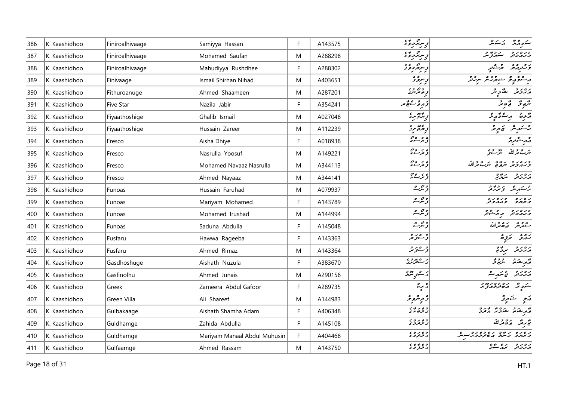| 386 | K. Kaashidhoo | Finiroalhivaage  | Samiyya Hassan               | F  | A143575 | وسر پر پوځ                                             | سے دیگر کے سکھر                                      |
|-----|---------------|------------------|------------------------------|----|---------|--------------------------------------------------------|------------------------------------------------------|
| 387 | K. Kaashidhoo | Finiroalhivaage  | Mohamed Saufan               | M  | A288298 | وسر چروځ                                               | ورەرو روپور<br><i>وبد</i> رونر سەرۋىر                |
| 388 | K. Kaashidhoo | Finiroalhivaage  | Mahudiyya Rushdhee           | F. | A288302 | ر سر پرېږي.<br>ر                                       | ر و ه ه ه ه ه ه و د و د .<br>د سرمانه ه سره مو       |
| 389 | K. Kaashidhoo | Finivaage        | Ismail Shirhan Nihad         | M  | A403651 | و سرچ <sup>ي</sup><br>تر سرچ ت                         | و عوضه و مستور المحمد المحمد المحمد                  |
| 390 | K. Kaashidhoo | Fithuroanuge     | Ahmed Shaameen               | M  | A287201 | وه وه<br>د مرس                                         | رەرر شەرپىر                                          |
| 391 | K. Kaashidhoo | <b>Five Star</b> | Nazila Jabir                 | F  | A354241 | أزره وعقيم                                             |                                                      |
| 392 | K. Kaashidhoo | Fiyaathoshige    | Ghalib Ismail                | M  | A027048 | و پژند<br>رگرهو مرد                                    | أزوة وسنورو                                          |
| 393 | K. Kaashidhoo | Fiyaathoshige    | Hussain Zareer               | M  | A112239 | و پر پر ہ<br>پر مربح سربر                              | برستهرین تمی پریژ<br>برستهرین تمی پریژ<br>برگریشنرین |
| 394 | K. Kaashidhoo | Fresco           | Aisha Dhiye                  | F  | A018938 | ه ، په <i>۹۰</i>                                       |                                                      |
| 395 | K. Kaashidhoo | Fresco           | Nasrulla Yoosuf              | M  | A149221 | ه ۽ م                                                  | ىربە براللە ھەرىپى                                   |
| 396 | K. Kaashidhoo | Fresco           | Mohamed Navaaz Nasrulla      | M  | A344113 | ه ۽ م                                                  | ورەرو روە شرقي سرجو الله                             |
| 397 | K. Kaashidhoo | Fresco           | Ahmed Nayaaz                 | M  | A344141 | وبرمير                                                 | رەرد شەرە<br>مەردىر شەرىخ                            |
| 398 | K. Kaashidhoo | Funoas           | Hussain Faruhad              | M  | A079937 | د مړي <u>.</u>                                         | برستهرش كالمروجاته                                   |
| 399 | K. Kaashidhoo | Funoas           | Mariyam Mohamed              | F  | A143789 | ۇتئرىشە                                                | נסנס כנסנב<br>כ <i>אתב בג</i> רכת                    |
| 400 | K. Kaashidhoo | Funoas           | Mohamed Irushad              | M  | A144994 | ۇنئرىئە                                                | ورەرو پەرشگە                                         |
| 401 | K. Kaashidhoo | Funoas           | Saduna Abdulla               | F  | A145048 | ۇ ئىگەپ                                                | مُحْمَّدِيثَرِ مَنْ صَحْرَاللَّهُ                    |
| 402 | K. Kaashidhoo | Fusfaru          | Hawwa Rageeba                | F. | A143363 | ۇ سىمۇ ئىر                                             | يەمۇر ئىتى ھ                                         |
| 403 | K. Kaashidhoo | Fusfaru          | Ahmed Rimaz                  | M  | A143364 | ۇ سىز ئىر                                              | גפיל תלט                                             |
| 404 | K. Kaashidhoo | Gasdhoshuge      | Aishath Nuzula               | F. | A383670 | ر ره پر و ،<br>کاسسوتر ری                              | ۇرمۇم سىز                                            |
| 405 | K. Kaashidhoo | Gasfinolhu       | Ahmed Junais                 | M  | A290156 | ئەسىموپىتىر                                            | أرەر دىر دىر                                         |
| 406 | K. Kaashidhoo | Greek            | Zameera Abdul Gafoor         | F  | A289735 | م مړين<br>د                                            | ر ده ده ده ده د<br>سرچ گر هام مرحوز و مر             |
| 407 | K. Kaashidhoo | Green Villa      | Ali Shareef                  | M  | A144983 | <sup>ە</sup> بې <sup>تر</sup> مۇ ئ <sup>ۇ</sup>        | أركمني المستميزة                                     |
| 408 | K. Kaashidhoo | Gulbakaage       | Aishath Shamha Adam          | F  | A406348 | وه رو ۽<br><sub>ک</sub> <del>ر</del> ه ما <sub>ک</sub> | ة درج دره وره<br>مدرشه شور مدره                      |
| 409 | K. Kaashidhoo | Guldhamge        | Zahida Abdulla               | F  | A145108 | و ه ر ه ،<br>د نوترو د                                 | تَجْرِقَرَ صَهْقَرَاللَّه                            |
| 410 | K. Kaashidhoo | Guldhamge        | Mariyam Manaal Abdul Muhusin | F  | A404468 | و ه ر ه ،<br>د نوترو د                                 |                                                      |
| 411 | K. Kaashidhoo | Gulfaamge        | Ahmed Rassam                 | M  | A143750 | وه پوه ،<br>د نوتو د د                                 | ړه رو ده ده                                          |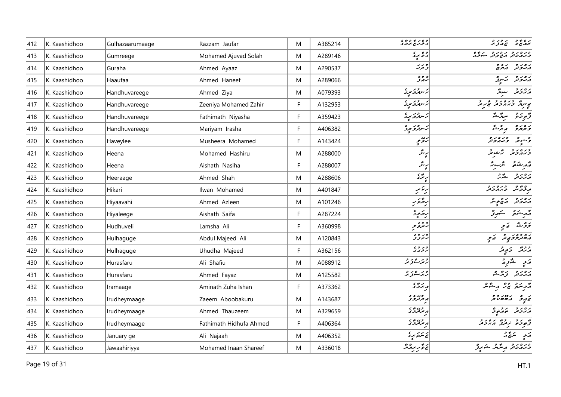| 412 | K. Kaashidhoo | Gulhazaarumaage | Razzam Jaufar           | M         | A385214 | و ه ر پر و پر د<br>  د نور بخ بود د | ره پر در در د                                                      |
|-----|---------------|-----------------|-------------------------|-----------|---------|-------------------------------------|--------------------------------------------------------------------|
| 413 | K. Kaashidhoo | Gumreege        | Mohamed Ajuvad Solah    | M         | A289146 | و ه<br>د څه پېړۍ                    | ورەر د رور د بروه<br>دېرمرحل مقولا جوړ                             |
| 414 | K. Kaashidhoo | Guraha          | Ahmed Ayaaz             | ${\sf M}$ | A290537 | د بر ر<br>بر برگ                    | גם ג' די ג'                                                        |
| 415 | K. Kaashidhoo | Haaufaa         | Ahmed Haneef            | M         | A289066 | رووسي                               | رەر بەر                                                            |
| 416 | K. Kaashidhoo | Handhuvareege   | Ahmed Ziya              | M         | A079393 | ئەسرەگرىمىزى                        | پره پر سندگر                                                       |
| 417 | K. Kaashidhoo | Handhuvareege   | Zeeniya Mohamed Zahir   | F         | A132953 | ئەسە <i>تى كى</i> رى                | ي سرگر وردورو پر د                                                 |
| 418 | K. Kaashidhoo | Handhuvareege   | Fathimath Niyasha       | F         | A359423 | ئەسە <i>تى كى</i> رى                | توجو خمی سرمرشد                                                    |
| 419 | K. Kaashidhoo | Handhuvareege   | Mariyam Irasha          | F         | A406382 | ر سر پر <sub>پر پ</sub> ر           | وبروره برعمية                                                      |
| 420 | K. Kaashidhoo | Haveylee        | Musheera Mohamed        | F         | A143424 | رەيە<br>رەبىي                       | ومشيعة وره دو                                                      |
| 421 | K. Kaashidhoo | Heena           | Mohamed Hashiru         | M         | A288000 | ىرىتىر                              | ورەر د گِشەتر                                                      |
| 422 | K. Kaashidhoo | Heena           | Aishath Nasiha          | F         | A288007 | ىپەتتىر                             | أقهر مشكرة كالترسير                                                |
| 423 | K. Kaashidhoo | Heeraage        | Ahmed Shah              | M         | A288606 | ر پوء<br>په مرد                     | برەر دەر                                                           |
| 424 | K. Kaashidhoo | Hikari          | Ilwan Mohamed           | M         | A401847 | رىكىر                               | و ده در در در د                                                    |
| 425 | K. Kaashidhoo | Hiyaavahi       | Ahmed Azleen            | ${\sf M}$ | A101246 | رېژوَر                              | גם גם גבתית                                                        |
| 426 | K. Kaashidhoo | Hiyaleege       | Aishath Saifa           | F         | A287224 | رېزىپە <sup>ي</sup>                 | ۇرىشى <i>نى سىرۇ</i>                                               |
| 427 | K. Kaashidhoo | Hudhuveli       | Lamsha Ali              | F         | A360998 | و و د<br>رتوغ م                     | أَوْدِّيْتُمْ أَيْرَمْ                                             |
| 428 | K. Kaashidhoo | Hulhaguge       | Abdul Majeed Ali        | M         | A120843 | و ر و ،<br>رى ى                     | ره وه د چې په کلي                                                  |
| 429 | K. Kaashidhoo | Hulhaguge       | Uhudha Majeed           | F         | A362156 | و ر و ،<br>رنگ ی                    | ەر ئەتقى ئەزەتقى                                                   |
| 430 | K. Kaashidhoo | Hurasfaru       | Ali Shafiu              | M         | A088912 | <i>جەنبەدى</i> ر                    | أقدم المشورة                                                       |
| 431 | K. Kaashidhoo | Hurasfaru       | Ahmed Fayaz             | M         | A125582 | <i>جەنبەدى</i> ر                    | برەر دېرگ                                                          |
| 432 | K. Kaashidhoo | Iramaage        | Aminath Zuha Ishan      | F         | A373362 | ويزدِّء                             | أأدينهم تجرش ويحمش                                                 |
| 433 | K. Kaashidhoo | Irudheymaage    | Zaeem Aboobakuru        | ${\sf M}$ | A143687 | و ده بو د<br>در موتور و د           | 7777200                                                            |
| 434 | K. Kaashidhoo | Irudheymaage    | Ahmed Thauzeem          | ${\sf M}$ | A329659 | و ده و د و<br>در موتور و د          | ره ر د د ه<br>مدرو ر مورم د                                        |
| 435 | K. Kaashidhoo | Irudheymaage    | Fathimath Hidhufa Ahmed | F         | A406364 | و ده و د و<br>د مومور و             | و دو روو ړه ده.                                                    |
| 436 | K. Kaashidhoo | January ge      | Ali Najaah              | M         | A406352 | ئے سَرَجَہ سرِجَ                    | $\begin{array}{cc} \overline{286} & \overline{288} \\ \end{array}$ |
| 437 | K. Kaashidhoo | Jawaahiriyya    | Mohamed Inaan Shareef   | ${\sf M}$ | A336018 | ئە ئۇ سىرە بىر                      | ورەرو پەش شېرو                                                     |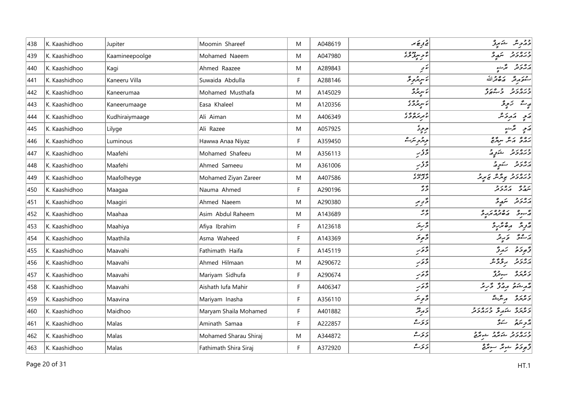| 438 | K. Kaashidhoo | Jupiter        | Moomin Shareef        | ${\sf M}$ | A048619 | 2 بوڪا سر                                                  | ومروش خبرو                        |
|-----|---------------|----------------|-----------------------|-----------|---------|------------------------------------------------------------|-----------------------------------|
| 439 | K. Kaashidhoo | Kaamineepoolge | Mohamed Naeem         | ${\sf M}$ | A047980 | ء <sub>حر</sub> سروه ،<br>تأج <sub>س</sub> رو و ،          | ورەر دىرە                         |
| 440 | K. Kaashidhoo | Kagi           | Ahmed Raazee          | M         | A289843 | ائمی                                                       | ره دو پېښېد<br>مدد تر پ           |
| 441 | K. Kaashidhoo | Kaneeru Villa  | Suwaida Abdulla       | F         | A288146 | ئەس <sub>ى</sub> برىدۇ.<br>ئ                               | معقديد ره والله                   |
| 442 | K. Kaashidhoo | Kaneerumaa     | Mohamed Musthafa      | M         | A145029 | ئەسرچە ئا                                                  | وره ده و ه دره<br>ورمادتر و سوو   |
| 443 | K. Kaashidhoo | Kaneerumaage   | Easa Khaleel          | M         | A120356 | بأسر يزدي                                                  | ۾ سڻه انگار پولوگو                |
| 444 | K. Kaashidhoo | Kudhiraiymaage | Ali Aiman             | ${\sf M}$ | A406349 | و دره و ،<br>مورتره و د                                    | ړې مرکار                          |
| 445 | K. Kaashidhoo | Lilyge         | Ali Razee             | ${\sf M}$ | A057925 | امومور<br>مستق                                             |                                   |
| 446 | K. Kaashidhoo | Luminous       | Hawwa Anaa Niyaz      | F         | A359450 | مورثر حريشه                                                |                                   |
| 447 | K. Kaashidhoo | Maafehi        | Mohamed Shafeeu       | M         | A356113 | څونر                                                       | وره د و شکور د                    |
| 448 | K. Kaashidhoo | Maafehi        | Ahmed Sameeu          | M         | A361006 | څوکړ                                                       | رەرو سەدە                         |
| 449 | K. Kaashidhoo | Maafolheyge    | Mohamed Ziyan Zareer  | ${\sf M}$ | A407586 | ه بود، ،<br>ترتو لر <sub>ک</sub>                           | כגם גב התיית התית                 |
| 450 | K. Kaashidhoo | Maagaa         | Nauma Ahmed           | F         | A290196 | ومجمج                                                      | يروه برەر و                       |
| 451 | K. Kaashidhoo | Maagiri        | Ahmed Naeem           | ${\sf M}$ | A290380 | ۇ <sub>ي مۇ</sub>                                          | أرور و سمدٍ و                     |
| 452 | K. Kaashidhoo | Maahaa         | Asim Abdul Raheem     | M         | A143689 | $\overset{\circ}{\mathcal{I}}\overset{\circ}{\mathcal{I}}$ |                                   |
| 453 | K. Kaashidhoo | Maahiya        | Afiya Ibrahim         | F         | A123618 | وحرير                                                      | ړ ده پره پر د                     |
| 454 | K. Kaashidhoo | Maathila       | Asma Waheed           | F         | A143369 | ځېږځه                                                      | أرمع<br>ى بەيتىر                  |
| 455 | K. Kaashidhoo | Maavahi        | Fathimath Haifa       | F         | A145119 | پە ئە<br>مەھ                                               | وٌوِدَةٌ رَرِوٌ                   |
| 456 | K. Kaashidhoo | Maavahi        | Ahmed Hilmaan         | M         | A290672 | ځ ځو سر                                                    | پروژو<br>بردد مر                  |
| 457 | K. Kaashidhoo | Maavahi        | Mariyam Sidhufa       | F         | A290674 | اقحفر                                                      | و ده ده و در در                   |
| 458 | K. Kaashidhoo | Maavahi        | Aishath Iufa Mahir    | F         | A406347 | ځونر                                                       | ה בילי ההל לגיל                   |
| 459 | K. Kaashidhoo | Maavina        | Mariyam Inasha        | F         | A356110 | ۇ ھەيىتر                                                   | د ۲۵ د مرگرو                      |
| 460 | K. Kaashidhoo | Maidhoo        | Maryam Shaila Mohamed | F         | A401882 | خەرقىر                                                     | و دره مشرکز وره د و               |
| 461 | K. Kaashidhoo | Malas          | Aminath Samaa         | F         | A222857 | ىزىمى                                                      | د پره په د کر                     |
| 462 | K. Kaashidhoo | Malas          | Mohamed Sharau Shiraj | M         | A344872 | ئەتەرىقە                                                   | ورەرو دىرو ھورو                   |
| 463 | K. Kaashidhoo | Malas          | Fathimath Shira Siraj | F         | A372920 | ىزىمى                                                      | أَرْجِرْهُمْ سُوبَرٌ سُوبَرٌ فَيَ |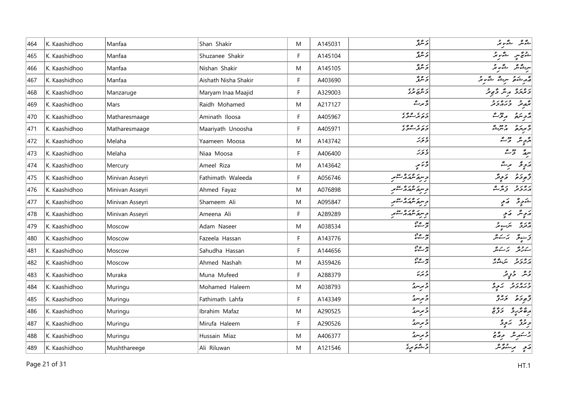| 464 | K. Kaashidhoo | Manfaa          | Shan Shakir          | M           | A145031 | ىر ھۇ                                                                | شەھر شىرىم                                |
|-----|---------------|-----------------|----------------------|-------------|---------|----------------------------------------------------------------------|-------------------------------------------|
| 465 | K. Kaashidhoo | Manfaa          | Shuzanee Shakir      | F           | A145104 | ر ە پە                                                               | ىشكە بىر<br> شۇ ئۇ بىر                    |
| 466 | K. Kaashidhoo | Manfaa          | Nishan Shakir        | M           | A145105 | ىر ھۇ                                                                | سرڪرش ڪريز                                |
| 467 | K. Kaashidhoo | Manfaa          | Aishath Nisha Shakir | F           | A403690 | ىز شرىچ                                                              | وأرشكم سريش مشرور                         |
| 468 | K. Kaashidhoo | Manzaruge       | Maryam Inaa Maajid   | F.          | A329003 | ر ۵ ر د ›<br>5 سرچ مرد                                               |                                           |
| 469 | K. Kaashidhoo | Mars            | Raidh Mohamed        | M           | A217127 | ۇ بر م                                                               | بمرد وره دو                               |
| 470 | K. Kaashidhoo | Matharesmaage   | Aminath Iloosa       | F           | A405967 | ر ر پ <sub>ر ۱</sub> ۵ بر پر<br>تره <sub>م</sub> رسو <del>ر</del> پر | ومحر سكوه المرفز المحمد                   |
| 471 | K. Kaashidhoo | Matharesmaage   | Maariyath Unoosha    | F.          | A405971 | ر ر ، ر ه » ،<br><del>و ه</del> بر سوی                               |                                           |
| 472 | K. Kaashidhoo | Melaha          | Yaameen Moosa        | M           | A143742 | ۇبۇر                                                                 | أثرج مثر<br>درمیم                         |
| 473 | K. Kaashidhoo | Melaha          | Niaa Moosa           | $\mathsf F$ | A406400 | ۇبۇر                                                                 | $\frac{2}{\sqrt{3}}$ $\frac{2}{\sqrt{3}}$ |
| 474 | K. Kaashidhoo | Mercury         | Ameel Riza           | M           | A143642 | اقحزميه                                                              | أروفي المراجح                             |
| 475 | K. Kaashidhoo | Minivan Asseyri | Fathimath Waleeda    | F           | A056746 | احەسى ھەدەبىيە<br>كەن سىدە سىمبر                                     | وٌمِ وَمَعْ وَمِ وَمَّ                    |
| 476 | K. Kaashidhoo | Minivan Asseyri | Ahmed Fayaz          | M           | A076898 | حەسى شىدە مىسىم                                                      | پروژبر<br>تر پژ بے                        |
| 477 | K. Kaashidhoo | Minivan Asseyri | Shameem Ali          | M           | A095847 | ح سره سره عند<br>مسره سمدو عند                                       | خنود كامي                                 |
| 478 | K. Kaashidhoo | Minivan Asseyri | Ameena Ali           | F           | A289289 | د سو ماره سایم<br>برای سمدو شو                                       | ړې پر                                     |
| 479 | K. Kaashidhoo | Moscow          | Adam Naseer          | M           | A038534 | خەمىدە                                                               | وره متن په چ                              |
| 480 | K. Kaashidhoo | Moscow          | Fazeela Hassan       | F.          | A143776 | خەمىدە                                                               | تى سىرىگە ئەسكەنلەر                       |
| 481 | K. Kaashidhoo | Moscow          | Sahudha Hassan       | $\mathsf F$ | A144656 | بر م                                                                 | سەر ئەسەھ                                 |
| 482 | K. Kaashidhoo | Moscow          | Ahmed Nashah         | M           | A359426 | خره په                                                               | رەرد شىشىر                                |
| 483 | K. Kaashidhoo | Muraka          | Muna Mufeed          | F           | A288379 | ويرز                                                                 |                                           |
| 484 | K. Kaashidhoo | Muringu         | Mohamed Haleem       | M           | A038793 | وحمرسر                                                               | ورەر دىرو                                 |
| 485 | K. Kaashidhoo | Muringu         | Fathimath Lahfa      | F           | A143349 | ومرسر                                                                | وٌمِ وَمَعْ وَرَوْ                        |
| 486 | K. Kaashidhoo | Muringu         | Ibrahim Mafaz        | M           | A290525 | ومرسر                                                                | ە ئەرە دىرە<br>بەھترىرى دىرى              |
| 487 | K. Kaashidhoo | Muringu         | Mirufa Haleem        | F           | A290526 | ومرسر                                                                | د پرژ ټرې                                 |
| 488 | K. Kaashidhoo | Muringu         | Hussain Miaz         | M           | A406377 | وحمرسر                                                               | ير سكر مثل المحروري                       |
| 489 | K. Kaashidhoo | Mushthareege    | Ali Riluwan          | M           | A121546 | ر مشر د مر <sub>و</sub><br>مشاهر مرد                                 | أەمو برختونل                              |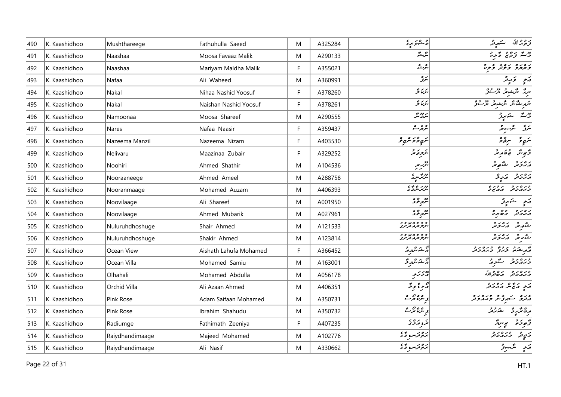| 490 | K. Kaashidhoo | Mushthareege     | Fathuhulla Saeed       | M         | A325284 | ر<br>ح شوه سر پر                  | ترة جرالله كسكر يتمر                             |
|-----|---------------|------------------|------------------------|-----------|---------|-----------------------------------|--------------------------------------------------|
| 491 | K. Kaashidhoo | Naashaa          | Moosa Favaaz Malik     | M         | A290133 | سَّرْشَہُ                         | أوقت وودا والمحموم                               |
| 492 | K. Kaashidhoo | Naashaa          | Mariyam Maldha Malik   | F         | A355021 | سَّرْشَہُ                         | ر ٥ ر ٥ د ٥ و د د<br>وبربرد و وتر و و د          |
| 493 | K. Kaashidhoo | Nafaa            | Ali Waheed             | M         | A360991 | سروٌ                              | أأوسي أوارثه                                     |
| 494 | K. Kaashidhoo | Nakal            | Nihaa Nashid Yoosuf    | F         | A378260 | ىر ئەھ                            | سرنگ سر شونتر اور ده<br>سرنگ سر شونتر اور شونق   |
| 495 | K. Kaashidhoo | Nakal            | Naishan Nashid Yoosuf  | F         | A378261 | ىر رە                             |                                                  |
| 496 | K. Kaashidhoo | Namoonaa         | Moosa Shareef          | ${\sf M}$ | A290555 | بر دو پر<br>سرچ سر                | دور شور میگیرد.<br>مناسبت میگیرد                 |
| 497 | K. Kaashidhoo | <b>Nares</b>     | Nafaa Naasir           | F         | A359437 | متزبر حر                          | ىنىڭ ئىگرىنىد                                    |
| 498 | K. Kaashidhoo | Nazeema Manzil   | Nazeema Nizam          | F         | A403530 | ىئرى <sub>ي</sub> ئەڭ ئىرى<br>    | سَمِعٍ رَّ<br>سرقوقر                             |
| 499 | K. Kaashidhoo | Nelivaru         | Maazinaa Zubair        | F         | A329252 | يرمزيز                            | دىم ئىق ئەھمە                                    |
| 500 | K. Kaashidhoo | Noohiri          | Ahmed Shathir          | M         | A104536 | چوبر بر<br>سربر                   | ره رو گھرو                                       |
| 501 | K. Kaashidhoo | Nooraaneege      | Ahmed Ameel            | M         | A288758 | دو پر<br>سربگرسری                 | دەرو دوۋ                                         |
| 502 | K. Kaashidhoo | Nooranmaage      | Mohamed Auzam          | ${\sf M}$ | A406393 | دد ر ه د ،<br>سرپرسرچ ی           | כנסנכ נבנס<br>בגמבת המגב                         |
| 503 | K. Kaashidhoo | Noovilaage       | Ali Shareef            | M         | A001950 | دو پرې<br>سرعر پرې                | أەكمى مەكمىرۇ                                    |
| 504 | K. Kaashidhoo | Noovilaage       | Ahmed Mubarik          | M         | A027961 | دد په په<br>سرچ د ک               | رەرو وەيرى                                       |
| 505 | K. Kaashidhoo | Nuluruhdhoshuge  | Shair Ahmed            | M         | A121533 | و و و ه پر و د<br>سربو بودر توسری | شگهریمر کم پروتر                                 |
| 506 | K. Kaashidhoo | Nuluruhdhoshuge  | Shakir Ahmed           | M         | A123814 | و و و ه یو و د<br>سربو بودر توسری | شما مدر مدرد                                     |
| 507 | K. Kaashidhoo | Ocean View       | Aishath Lahufa Mohamed | F         | A366452 | لأسته مثره قرقه                   | و مشور دور در در د                               |
| 508 | K. Kaashidhoo | Ocean Villa      | Mohamed Samiu          | M         | A163001 | لأشكشعرقه                         | ورەرو ئور                                        |
| 509 | K. Kaashidhoo | Olhahali         | Mohamed Abdulla        | M         | A056178 | اچرىخ                             | وره رو رووالله                                   |
| 510 | K. Kaashidhoo | Orchid Villa     | Ali Azaan Ahmed        | M         | A406351 | لأبرء وبخه                        | أقبح أيجمع ورقادة                                |
| 511 | K. Kaashidhoo | <b>Pink Rose</b> | Adam Saifaan Mohamed   | ${\sf M}$ | A350731 | ارپرېدىك                          | أيمزه كتهرؤ بدارد                                |
| 512 | K. Kaashidhoo | <b>Pink Rose</b> | Ibrahim Shahudu        | ${\sf M}$ | A350732 | ابر عروفيت                        | أرە ئۆر ئەردو                                    |
| 513 | K. Kaashidhoo | Radiumge         | Fathimath Zeeniya      | F         | A407235 | بمع وكره ي                        |                                                  |
| 514 | K. Kaashidhoo | Raiydhandimaage  | Majeed Mohamed         | M         | A102776 | بره و برسو څه د                   | ر د پ <sub>و</sub> تر<br>و ر ه ر د<br>تر پر ژ تر |
| 515 | K. Kaashidhoo | Raiydhandimaage  | Ali Nasif              | ${\sf M}$ | A330662 | بره و برسو څر                     | أەنب مترجوقر                                     |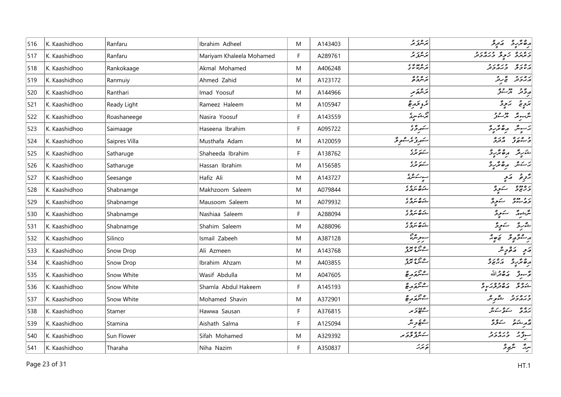| 516 | K. Kaashidhoo | Ranfaru       | Ibrahim Adheel           | M         | A143403 | ىر ھەر ج                                | رەنزىر ئىستىر ئىستىلىكى ئە                                                                                      |
|-----|---------------|---------------|--------------------------|-----------|---------|-----------------------------------------|-----------------------------------------------------------------------------------------------------------------|
| 517 | K. Kaashidhoo | Ranfaru       | Mariyam Khaleela Mohamed | F         | A289761 | ىر ھ <sub>ە</sub> ر ج                   | و وړه د په وره د و                                                                                              |
| 518 | K. Kaashidhoo | Rankokaage    | Akmal Mohamed            | ${\sf M}$ | A406248 | ر ٥ × <i>٥ &gt;</i><br>برس <i>٧ ٧ ى</i> | رەرە درەرد                                                                                                      |
| 519 | K. Kaashidhoo | Ranmuiy       | Ahmed Zahid              | M         | A123172 | ر ه و ه<br>مرس                          | أرور والمحمدة                                                                                                   |
| 520 | K. Kaashidhoo | Ranthari      | Imad Yoosuf              | M         | A144966 | ابرعدىمر                                | دد حرو<br>ەردىر                                                                                                 |
| 521 | K. Kaashidhoo | Ready Light   | Rameez Haleem            | M         | A105947 | بروخهره                                 | پرَ <sub>حِی</sub> پر پر پر و                                                                                   |
| 522 | K. Kaashidhoo | Roashaneege   | Nasira Yoosuf            | F         | A143559 | م<br>محر شهر سور                        | لترسع تريح                                                                                                      |
| 523 | K. Kaashidhoo | Saimaage      | Haseena Ibrahim          | F         | A095722 | سكردى                                   | بمسبش مرەمخرى                                                                                                   |
| 524 | K. Kaashidhoo | Saipres Villa | Musthafa Adam            | ${\sf M}$ | A120059 | سەر بۇ ئۈس <sup>ت</sup> موڭر            | و په دیږ<br>تر ښونو تر<br>پر ہ<br>پرترو                                                                         |
| 525 | K. Kaashidhoo | Satharuge     | Shaheeda Ibrahim         | F         | A138762 | ے ر و ۽<br>ستوج جري                     | شورقه مرەقرىرد                                                                                                  |
| 526 | K. Kaashidhoo | Satharuge     | Hassan Ibrahim           | M         | A156585 | ر د و ه<br>ستمونور                      | برسەمىر<br>مەھمىرى                                                                                              |
| 527 | K. Kaashidhoo | Seesange      | Hafiz Ali                | M         | A143727 | اب مەنىۋى<br>پە                         | بژونځ اړمو                                                                                                      |
| 528 | K. Kaashidhoo | Shabnamge     | Makhzoom Saleem          | ${\sf M}$ | A079844 | ر <i>ه د ه ،</i><br>شو <i>ه مرو د</i>   | ر و دوه<br>تر دې تر<br>سەرد                                                                                     |
| 529 | K. Kaashidhoo | Shabnamge     | Mausoom Saleem           | M         | A079932 | ر <i>ه د ه ،</i><br>شو <i>ه مرو د</i>   | ر و دوه<br>وړيسون<br>سەرد                                                                                       |
| 530 | K. Kaashidhoo | Shabnamge     | Nashiaa Saleem           | F         | A288094 | شەھ سرچ ئ                               | شرشوش كولو                                                                                                      |
| 531 | K. Kaashidhoo | Shabnamge     | Shahim Saleem            | M         | A288096 | ر ه ر ه ،<br>شو <i>ه مرد د</i>          | $\frac{1}{2}$<br>سەَموِرْ                                                                                       |
| 532 | K. Kaashidhoo | Silinco       | Ismail Zabeeh            | M         | A387128 | اسوچر<br>ا                              | $206$ $3\frac{10}{2}$                                                                                           |
| 533 | K. Kaashidhoo | Snow Drop     | Ali Azmeen               | M         | A143768 | <u>ه جې ده</u>                          | أماس ماه ويثر                                                                                                   |
| 534 | K. Kaashidhoo | Snow Drop     | Ibrahim Ahzam            | M         | A403855 | <u>ه چې ویوه</u>                        | رە ئۈرۈ<br>55.51                                                                                                |
| 535 | K. Kaashidhoo | Snow White    | Wasif Abdulla            | M         | A047605 | $rac{1}{2}$                             | قرجوق وكافترالله                                                                                                |
| 536 | K. Kaashidhoo | Snow White    | Shamla Abdul Hakeem      | F         | A145193 | <u>۔ جي حر</u>                          | ره ده ده ده در ه<br>شورگر پره تر ژبر د                                                                          |
| 537 | K. Kaashidhoo | Snow White    | Mohamed Shavin           | ${\sf M}$ | A372901 | <u> م</u> مبر<br>سوسر                   | ورەرو شەھ ش                                                                                                     |
| 538 | K. Kaashidhoo | Stamer        | Hawwa Sausan             | F         | A376815 | ە ،، ر<br>سىۋىر بىر                     | سەۋسەنىر<br>برەپچ                                                                                               |
| 539 | K. Kaashidhoo | Stamina       | Aishath Salma            | F         | A125094 | <u>شوء</u> پڙ                           | د المراد المحمد المحمدة المحمدة المحمدة المحمدة المحمدة المحمدة المحمدة المحمدة المحمدة المحمدة المحمدة المحمدة |
| 540 | K. Kaashidhoo | Sun Flower    | Sifah Mohamed            | M         | A329392 | سەشرىۋۇ ئىر                             | و ره ر د<br><i>د ب</i> رگرفر<br>سوژبر                                                                           |
| 541 | K. Kaashidhoo | Tharaha       | Niha Nazim               | F         | A350837 | ەئەرىر                                  | سر <sup>ی</sup> ر سرّی د                                                                                        |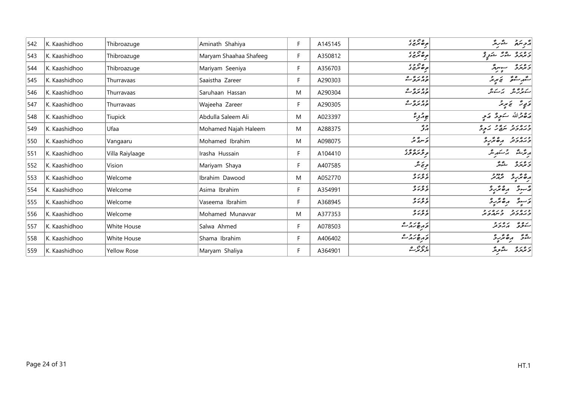| 542 | K. Kaashidhoo | Thibroazuge        | Aminath Shahiya        | F  | A145145 | ه چې د ع<br>مو <b>ځ</b> پر          | أثر حرمهم<br>ىشترىرىتر                                 |
|-----|---------------|--------------------|------------------------|----|---------|-------------------------------------|--------------------------------------------------------|
| 543 | K. Kaashidhoo | Thibroazuge        | Maryam Shaahaa Shafeeg | F  | A350812 | ه ۵ و ۵ و ۷<br>مو <b>ن</b> ه مربع و | ر ه ر ه<br>د بربرگ<br>ىش <i>ۇڭ ستۇر ق</i>              |
| 544 | K. Kaashidhoo | Thibroazuge        | Mariyam Seeniya        | F  | A356703 |                                     | ر ه ر ه<br><del>ر</del> بربرو<br>سىسەتر<br>- 3         |
| 545 | K. Kaashidhoo | Thurravaas         | Saaistha Zareer        | F  | A290303 | د ه بر پر م<br>مور سرچ ک            | سەھرىسىتى<br>سے میرمیر                                 |
| 546 | K. Kaashidhoo | Thurravaas         | Saruhaan Hassan        | M  | A290304 | د ه ر پ <sub>ر</sub> م              | سەپرىس بەسەس                                           |
| 547 | K. Kaashidhoo | Thurravaas         | Wajeeha Zareer         | F. | A290305 | د ه بر پر م                         | كۆمەش ئەمىيەتمە                                        |
| 548 | K. Kaashidhoo | <b>Tiupick</b>     | Abdulla Saleem Ali     | M  | A023397 | جوړېږمنه                            | أرة قرالله سكوية المتوا                                |
| 549 | K. Kaashidhoo | Ufaa               | Mohamed Najah Haleem   | M  | A288375 | پړم                                 | ورەرو رود رو                                           |
| 550 | K. Kaashidhoo | Vangaaru           | Mohamed Ibrahim        | M  | A098075 | ىر سەمبەر<br>جامىيە ئىر             | و ره د د<br>تر <i>پر</i> وتر<br>ە ھەترىر قر            |
| 551 | K. Kaashidhoo | Villa Raiylaage    | Irasha Hussain         | F  | A104410 | ه ۶ د ه ۶ و و<br>د تر پره تر د      | ەر ئۇيىتە<br>برسەمەرىش                                 |
| 552 | K. Kaashidhoo | Vision             | Mariyam Shaya          | F  | A407585 | ء ئي مثر                            | ر ه ر ه<br><del>ر</del> بربر د<br>شەھر                 |
| 553 | K. Kaashidhoo | Welcome            | Ibrahim Dawood         | M  | A052770 | ، ه بره<br>حريم تر                  | پر دو و<br>تو <sub>م</sub> 7ر تو<br>مەھرىر             |
| 554 | K. Kaashidhoo | Welcome            | Asima Ibrahim          | F. | A354991 | ء ورو                               | ەھ ترىرى<br>رژ سر ژ                                    |
| 555 | K. Kaashidhoo | Welcome            | Vaseema Ibrahim        | F  | A368945 | ء ورو                               | 0 30<br>ە سېرىتى<br>برختررو                            |
| 556 | K. Kaashidhoo | Welcome            | Mohamed Munavvar       | M  | A377353 | ء ورو                               | و رە ر د<br><i>د بر</i> بر تر<br>20012<br>ر سرمر بر بر |
| 557 | K. Kaashidhoo | <b>White House</b> | Salwa Ahmed            | F  | A078503 | ئەرەپرور                            | سەۋە<br>2001<br>بربروتر                                |
| 558 | K. Kaashidhoo | <b>White House</b> | Shama Ibrahim          | F  | A406402 | ئەرەپرىشى                           | ەھ تررۈ<br>ستروٌ                                       |
| 559 | K. Kaashidhoo | <b>Yellow Rose</b> | Maryam Shaliya         | F  | A364901 | ، <i>ہ</i> جو برے<br>مرموسرے        | ر ه ر ه<br><del>ر</del> بربر د<br>ستكوتر               |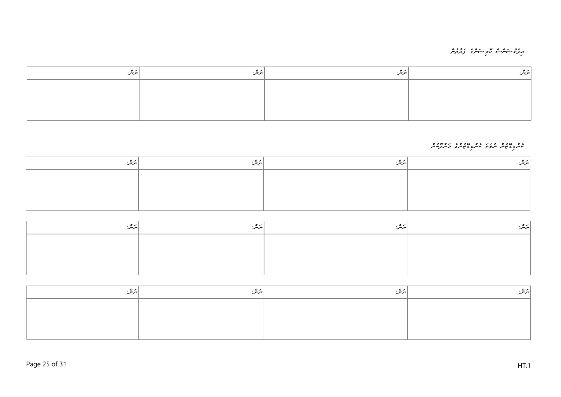## *w7qAn8m? sCw7mRo>u; wEw7mRw;sBo<*

| ' مرمر | 'يئرىثر: |
|--------|----------|
|        |          |
|        |          |
|        |          |

## *w7q9r@w7m> sCw7qHtFoFw7s; mAm=q7 w7qHtFoFw7s;*

| ىر تە | $\mathcal{O} \times$<br>$\sim$ | $\sim$<br>. . | لترنثر |
|-------|--------------------------------|---------------|--------|
|       |                                |               |        |
|       |                                |               |        |
|       |                                |               |        |

| انترنثر: | $^{\circ}$ | يبرهر | $^{\circ}$<br>سرسر |
|----------|------------|-------|--------------------|
|          |            |       |                    |
|          |            |       |                    |
|          |            |       |                    |

| ىرتىر: | 。<br>سر سر | .,<br>مرسر |
|--------|------------|------------|
|        |            |            |
|        |            |            |
|        |            |            |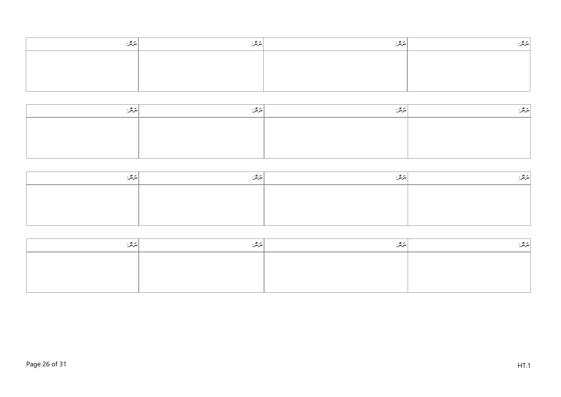| يره. | ο. | ا ير ه |  |
|------|----|--------|--|
|      |    |        |  |
|      |    |        |  |
|      |    |        |  |

| <sup>.</sup> سرسر. |  |
|--------------------|--|
|                    |  |
|                    |  |
|                    |  |

| ىئرىتر. | $\sim$ | ا بر هه. | لىرىش |
|---------|--------|----------|-------|
|         |        |          |       |
|         |        |          |       |
|         |        |          |       |

| يترمثر | $^{\circ}$ | ىر پىر |
|--------|------------|--------|
|        |            |        |
|        |            |        |
|        |            |        |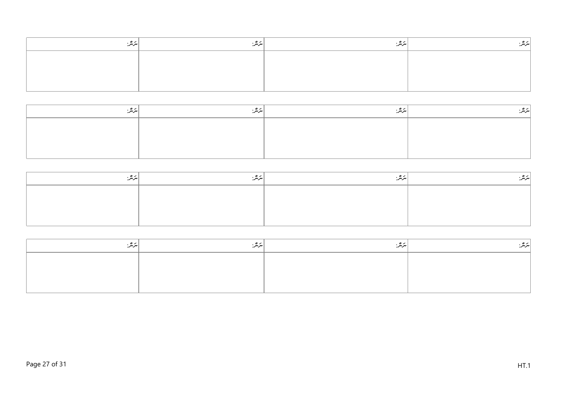| ير هو . | $\overline{\phantom{a}}$ | يرمر | اير هنه. |
|---------|--------------------------|------|----------|
|         |                          |      |          |
|         |                          |      |          |
|         |                          |      |          |

| ىر تىر: | $\circ$ $\sim$<br>" سرسر . | يبرحه | o . |
|---------|----------------------------|-------|-----|
|         |                            |       |     |
|         |                            |       |     |
|         |                            |       |     |

| 'تترنثر: | 。<br>,,,, |  |
|----------|-----------|--|
|          |           |  |
|          |           |  |
|          |           |  |

|  | . ه |
|--|-----|
|  |     |
|  |     |
|  |     |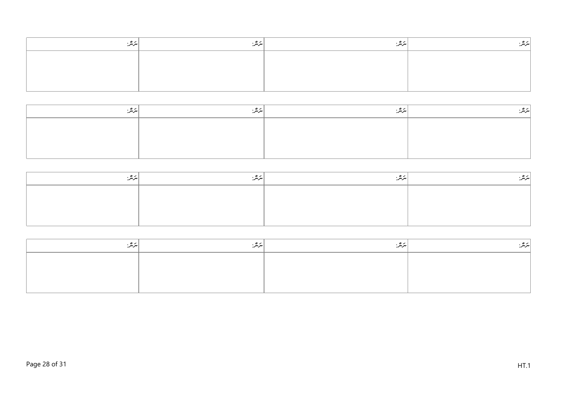| ير هو . | $\overline{\phantom{a}}$ | يرمر | اير هنه. |
|---------|--------------------------|------|----------|
|         |                          |      |          |
|         |                          |      |          |
|         |                          |      |          |

| ئىرتىر: | $\sim$<br>ا سرسر . | يئرمثر | o . |
|---------|--------------------|--------|-----|
|         |                    |        |     |
|         |                    |        |     |
|         |                    |        |     |

| انترنثر: | ر ه |  |
|----------|-----|--|
|          |     |  |
|          |     |  |
|          |     |  |

|  | . ه |
|--|-----|
|  |     |
|  |     |
|  |     |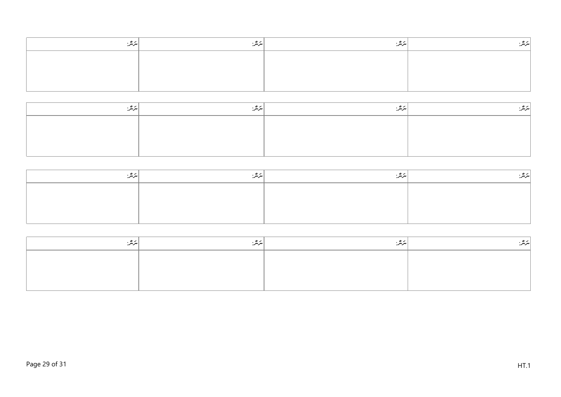| $\cdot$ | ο. | $\frac{\circ}{\cdot}$ | $\sim$<br>سرسر |
|---------|----|-----------------------|----------------|
|         |    |                       |                |
|         |    |                       |                |
|         |    |                       |                |

| ايرعر: | ر ه<br>. . |  |
|--------|------------|--|
|        |            |  |
|        |            |  |
|        |            |  |

| بر ه | 。 | $\sim$<br>َ سومس. |  |
|------|---|-------------------|--|
|      |   |                   |  |
|      |   |                   |  |
|      |   |                   |  |

| 。<br>. س | ىرىىر |  |
|----------|-------|--|
|          |       |  |
|          |       |  |
|          |       |  |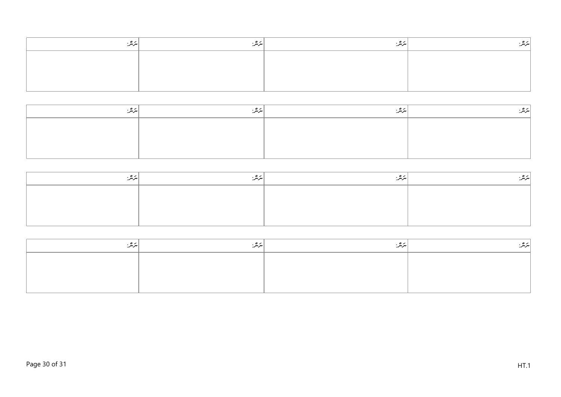| ير هو . | $\overline{\phantom{a}}$ | يرمر | اير هنه. |
|---------|--------------------------|------|----------|
|         |                          |      |          |
|         |                          |      |          |
|         |                          |      |          |

| ىر تىر: | $\circ$ $\sim$<br>" سرسر . | يبرحه | o . |
|---------|----------------------------|-------|-----|
|         |                            |       |     |
|         |                            |       |     |
|         |                            |       |     |

| 'تترنثر: | ر ه |  |
|----------|-----|--|
|          |     |  |
|          |     |  |
|          |     |  |

|  | . ه |
|--|-----|
|  |     |
|  |     |
|  |     |